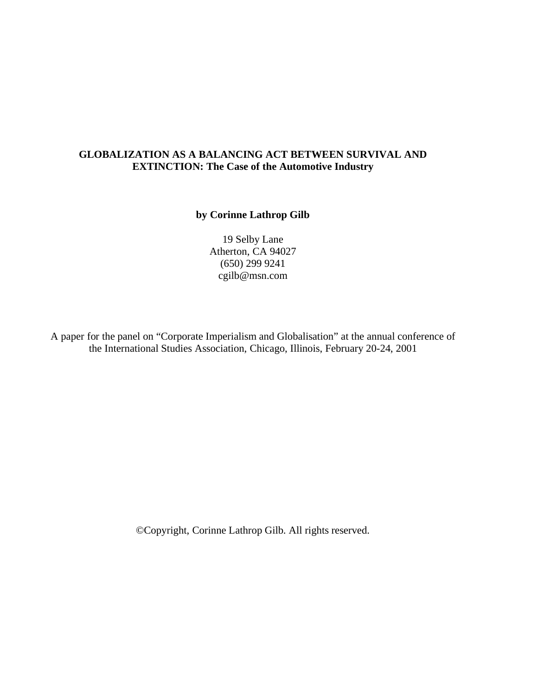# **GLOBALIZATION AS A BALANCING ACT BETWEEN SURVIVAL AND EXTINCTION: The Case of the Automotive Industry**

# **by Corinne Lathrop Gilb**

19 Selby Lane Atherton, CA 94027 (650) 299 9241 cgilb@msn.com

A paper for the panel on "Corporate Imperialism and Globalisation" at the annual conference of the International Studies Association, Chicago, Illinois, February 20-24, 2001

©Copyright, Corinne Lathrop Gilb. All rights reserved.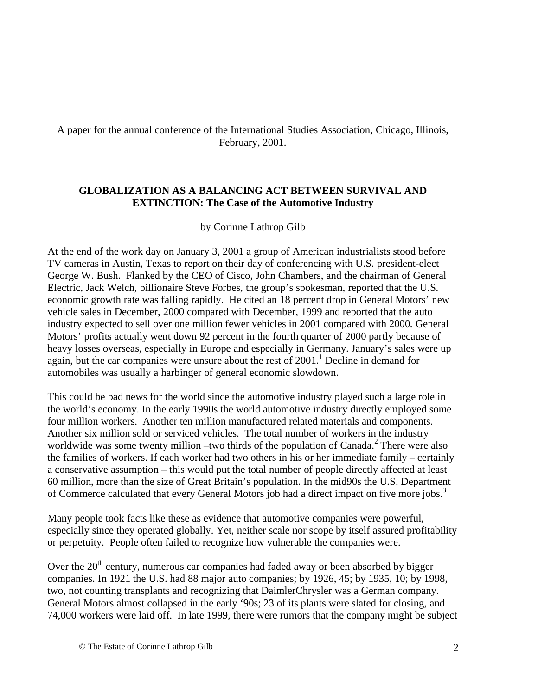A paper for the annual conference of the International Studies Association, Chicago, Illinois, February, 2001.

# **GLOBALIZATION AS A BALANCING ACT BETWEEN SURVIVAL AND EXTINCTION: The Case of the Automotive Industry**

by Corinne Lathrop Gilb

 At the end of the work day on January 3, 2001 a group of American industrialists stood before TV cameras in Austin, Texas to report on their day of conferencing with U.S. president-elect George W. Bush. Flanked by the CEO of Cisco, John Chambers, and the chairman of General Electric, Jack Welch, billionaire Steve Forbes, the group's spokesman, reported that the U.S. economic growth rate was falling rapidly. He cited an 18 percent drop in General Motors' new vehicle sales in December, 2000 compared with December, 1999 and reported that the auto industry expected to sell over one million fewer vehicles in 2001 compared with 2000. General Motors' profits actually went down 92 percent in the fourth quarter of 2000 partly because of heavy losses overseas, especially in Europe and especially in Germany. January's sales were up again, but the car companies were unsure about the rest of  $2001$ .<sup>1</sup> Decline in demand for automobiles was usually a harbinger of general economic slowdown.

 This could be bad news for the world since the automotive industry played such a large role in the world's economy. In the early 1990s the world automotive industry directly employed some four million workers. Another ten million manufactured related materials and components. Another six million sold or serviced vehicles. The total number of workers in the industry worldwide was some twenty million  $-$ two thirds of the population of Canada. $^2$  There were also the families of workers. If each worker had two others in his or her immediate family – certainly a conservative assumption – this would put the total number of people directly affected at least 60 million, more than the size of Great Britain's population. In the mid90s the U.S. Department of Commerce calculated that every General Motors job had a direct impact on five more jobs.<sup>3</sup>

 Many people took facts like these as evidence that automotive companies were powerful, especially since they operated globally. Yet, neither scale nor scope by itself assured profitability or perpetuity. People often failed to recognize how vulnerable the companies were.

Over the  $20<sup>th</sup>$  century, numerous car companies had faded away or been absorbed by bigger companies. In 1921 the U.S. had 88 major auto companies; by 1926, 45; by 1935, 10; by 1998, two, not counting transplants and recognizing that DaimlerChrysler was a German company. General Motors almost collapsed in the early '90s; 23 of its plants were slated for closing, and 74,000 workers were laid off. In late 1999, there were rumors that the company might be subject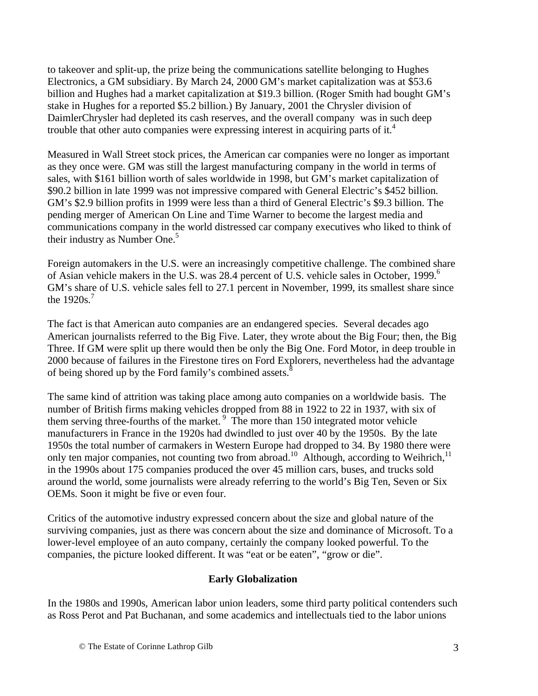to takeover and split-up, the prize being the communications satellite belonging to Hughes Electronics, a GM subsidiary. By March 24, 2000 GM's market capitalization was at \$53.6 billion and Hughes had a market capitalization at \$19.3 billion. (Roger Smith had bought GM's stake in Hughes for a reported \$5.2 billion.) By January, 2001 the Chrysler division of DaimlerChrysler had depleted its cash reserves, and the overall company was in such deep trouble that other auto companies were expressing interest in acquiring parts of it.<sup>4</sup>

Measured in Wall Street stock prices, the American car companies were no longer as important as they once were. GM was still the largest manufacturing company in the world in terms of sales, with \$161 billion worth of sales worldwide in 1998, but GM's market capitalization of \$90.2 billion in late 1999 was not impressive compared with General Electric's \$452 billion. GM's \$2.9 billion profits in 1999 were less than a third of General Electric's \$9.3 billion. The pending merger of American On Line and Time Warner to become the largest media and communications company in the world distressed car company executives who liked to think of their industry as Number One.<sup>5</sup>

Foreign automakers in the U.S. were an increasingly competitive challenge. The combined share of Asian vehicle makers in the U.S. was 28.4 percent of U.S. vehicle sales in October, 1999.<sup>6</sup> GM's share of U.S. vehicle sales fell to 27.1 percent in November, 1999, its smallest share since the  $1920s$ <sup>7</sup>

The fact is that American auto companies are an endangered species. Several decades ago American journalists referred to the Big Five. Later, they wrote about the Big Four; then, the Big Three. If GM were split up there would then be only the Big One. Ford Motor, in deep trouble in 2000 because of failures in the Firestone tires on Ford Explorers, nevertheless had the advantage of being shored up by the Ford family's combined assets.<sup>8</sup>

 The same kind of attrition was taking place among auto companies on a worldwide basis. The number of British firms making vehicles dropped from 88 in 1922 to 22 in 1937, with six of them serving three-fourths of the market.<sup>9</sup> The more than 150 integrated motor vehicle manufacturers in France in the 1920s had dwindled to just over 40 by the 1950s. By the late 1950s the total number of carmakers in Western Europe had dropped to 34. By 1980 there were only ten major companies, not counting two from abroad.<sup>10</sup> Although, according to Weihrich,<sup>11</sup> in the 1990s about 175 companies produced the over 45 million cars, buses, and trucks sold around the world, some journalists were already referring to the world's Big Ten, Seven or Six OEMs. Soon it might be five or even four.

 Critics of the automotive industry expressed concern about the size and global nature of the surviving companies, just as there was concern about the size and dominance of Microsoft. To a lower-level employee of an auto company, certainly the company looked powerful. To the companies, the picture looked different. It was "eat or be eaten", "grow or die".

# **Early Globalization**

 In the 1980s and 1990s, American labor union leaders, some third party political contenders such as Ross Perot and Pat Buchanan, and some academics and intellectuals tied to the labor unions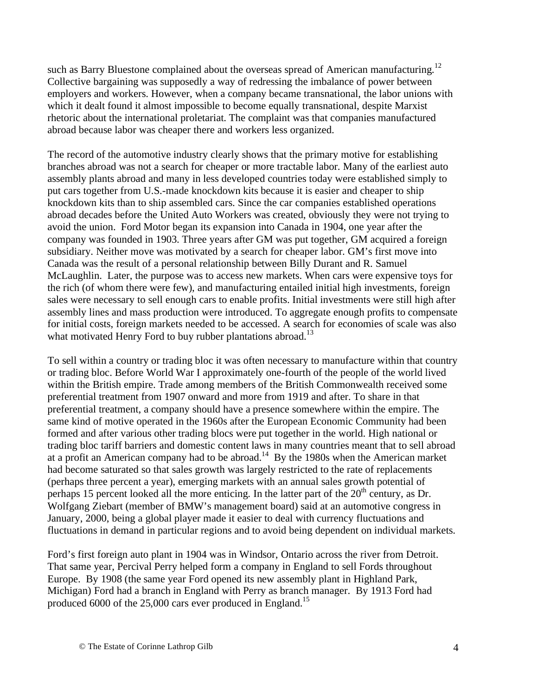such as Barry Bluestone complained about the overseas spread of American manufacturing.<sup>12</sup> Collective bargaining was supposedly a way of redressing the imbalance of power between employers and workers. However, when a company became transnational, the labor unions with which it dealt found it almost impossible to become equally transnational, despite Marxist rhetoric about the international proletariat. The complaint was that companies manufactured abroad because labor was cheaper there and workers less organized.

 The record of the automotive industry clearly shows that the primary motive for establishing branches abroad was not a search for cheaper or more tractable labor. Many of the earliest auto assembly plants abroad and many in less developed countries today were established simply to put cars together from U.S.-made knockdown kits because it is easier and cheaper to ship knockdown kits than to ship assembled cars. Since the car companies established operations abroad decades before the United Auto Workers was created, obviously they were not trying to avoid the union. Ford Motor began its expansion into Canada in 1904, one year after the company was founded in 1903. Three years after GM was put together, GM acquired a foreign subsidiary. Neither move was motivated by a search for cheaper labor. GM's first move into Canada was the result of a personal relationship between Billy Durant and R. Samuel McLaughlin. Later, the purpose was to access new markets. When cars were expensive toys for the rich (of whom there were few), and manufacturing entailed initial high investments, foreign sales were necessary to sell enough cars to enable profits. Initial investments were still high after assembly lines and mass production were introduced. To aggregate enough profits to compensate for initial costs, foreign markets needed to be accessed. A search for economies of scale was also what motivated Henry Ford to buy rubber plantations abroad.<sup>13</sup>

 To sell within a country or trading bloc it was often necessary to manufacture within that country or trading bloc. Before World War I approximately one-fourth of the people of the world lived within the British empire. Trade among members of the British Commonwealth received some preferential treatment from 1907 onward and more from 1919 and after. To share in that preferential treatment, a company should have a presence somewhere within the empire. The same kind of motive operated in the 1960s after the European Economic Community had been formed and after various other trading blocs were put together in the world. High national or trading bloc tariff barriers and domestic content laws in many countries meant that to sell abroad at a profit an American company had to be abroad.<sup>14</sup> By the 1980s when the American market had become saturated so that sales growth was largely restricted to the rate of replacements (perhaps three percent a year), emerging markets with an annual sales growth potential of perhaps 15 percent looked all the more enticing. In the latter part of the  $20<sup>th</sup>$  century, as Dr. Wolfgang Ziebart (member of BMW's management board) said at an automotive congress in January, 2000, being a global player made it easier to deal with currency fluctuations and fluctuations in demand in particular regions and to avoid being dependent on individual markets.

Ford's first foreign auto plant in 1904 was in Windsor, Ontario across the river from Detroit. That same year, Percival Perry helped form a company in England to sell Fords throughout Europe. By 1908 (the same year Ford opened its new assembly plant in Highland Park, Michigan) Ford had a branch in England with Perry as branch manager. By 1913 Ford had produced 6000 of the 25,000 cars ever produced in England.<sup>15</sup>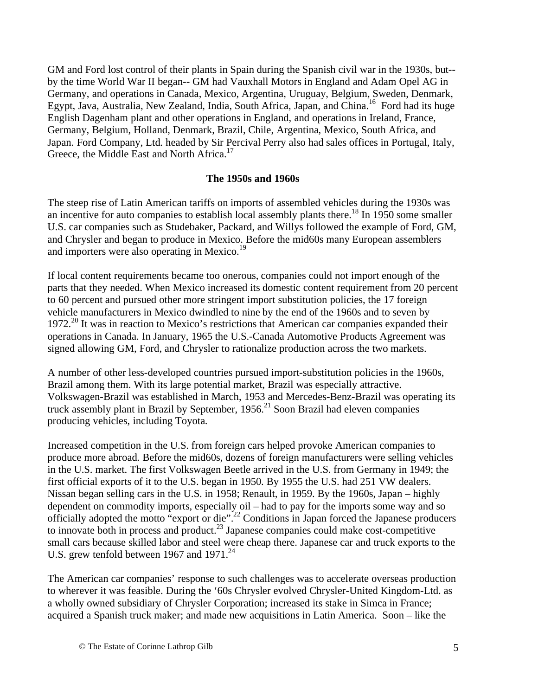GM and Ford lost control of their plants in Spain during the Spanish civil war in the 1930s, but- by the time World War II began-- GM had Vauxhall Motors in England and Adam Opel AG in Germany, and operations in Canada, Mexico, Argentina, Uruguay, Belgium, Sweden, Denmark, Egypt, Java, Australia, New Zealand, India, South Africa, Japan, and China.<sup>16</sup> Ford had its huge English Dagenham plant and other operations in England, and operations in Ireland, France, Germany, Belgium, Holland, Denmark, Brazil, Chile, Argentina, Mexico, South Africa, and Japan. Ford Company, Ltd. headed by Sir Percival Perry also had sales offices in Portugal, Italy, Greece, the Middle East and North Africa.<sup>17</sup>

### **The 1950s and 1960s**

 The steep rise of Latin American tariffs on imports of assembled vehicles during the 1930s was an incentive for auto companies to establish local assembly plants there.<sup>18</sup> In 1950 some smaller U.S. car companies such as Studebaker, Packard, and Willys followed the example of Ford, GM, and Chrysler and began to produce in Mexico. Before the mid60s many European assemblers and importers were also operating in Mexico.<sup>19</sup>

If local content requirements became too onerous, companies could not import enough of the parts that they needed. When Mexico increased its domestic content requirement from 20 percent to 60 percent and pursued other more stringent import substitution policies, the 17 foreign vehicle manufacturers in Mexico dwindled to nine by the end of the 1960s and to seven by 1972.<sup>20</sup> It was in reaction to Mexico's restrictions that American car companies expanded their operations in Canada. In January, 1965 the U.S.-Canada Automotive Products Agreement was signed allowing GM, Ford, and Chrysler to rationalize production across the two markets.

 A number of other less-developed countries pursued import-substitution policies in the 1960s, Brazil among them. With its large potential market, Brazil was especially attractive. Volkswagen-Brazil was established in March, 1953 and Mercedes-Benz-Brazil was operating its truck assembly plant in Brazil by September,  $1956<sup>21</sup>$  Soon Brazil had eleven companies producing vehicles, including Toyota.

 Increased competition in the U.S. from foreign cars helped provoke American companies to produce more abroad. Before the mid60s, dozens of foreign manufacturers were selling vehicles in the U.S. market. The first Volkswagen Beetle arrived in the U.S. from Germany in 1949; the first official exports of it to the U.S. began in 1950. By 1955 the U.S. had 251 VW dealers. Nissan began selling cars in the U.S. in 1958; Renault, in 1959. By the 1960s, Japan – highly dependent on commodity imports, especially oil – had to pay for the imports some way and so officially adopted the motto "export or die".<sup>22</sup> Conditions in Japan forced the Japanese producers to innovate both in process and product.<sup>23</sup> Japanese companies could make cost-competitive small cars because skilled labor and steel were cheap there. Japanese car and truck exports to the U.S. grew tenfold between 1967 and 1971.<sup>24</sup>

 The American car companies' response to such challenges was to accelerate overseas production to wherever it was feasible. During the '60s Chrysler evolved Chrysler-United Kingdom-Ltd. as a wholly owned subsidiary of Chrysler Corporation; increased its stake in Simca in France; acquired a Spanish truck maker; and made new acquisitions in Latin America. Soon – like the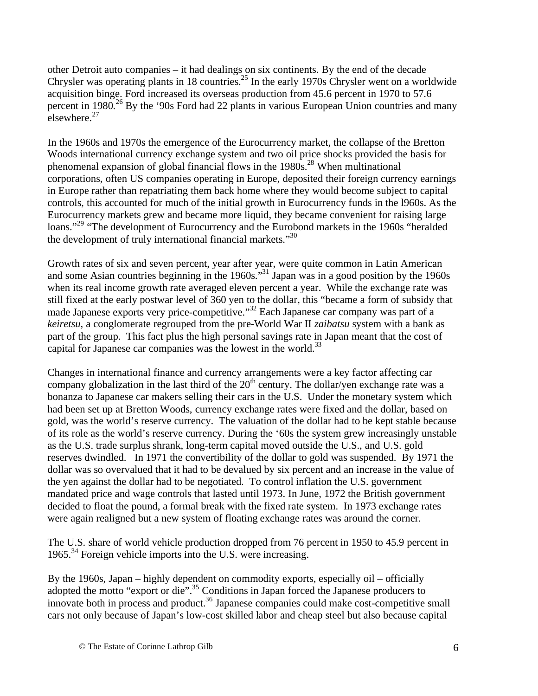other Detroit auto companies – it had dealings on six continents. By the end of the decade Chrysler was operating plants in 18 countries.<sup>25</sup> In the early 1970s Chrysler went on a worldwide acquisition binge. Ford increased its overseas production from 45.6 percent in 1970 to 57.6 percent in 1980.<sup>26</sup> By the '90s Ford had 22 plants in various European Union countries and many elsewhere. $27$ 

 In the 1960s and 1970s the emergence of the Eurocurrency market, the collapse of the Bretton Woods international currency exchange system and two oil price shocks provided the basis for phenomenal expansion of global financial flows in the  $1980s$ <sup>28</sup> When multinational corporations, often US companies operating in Europe, deposited their foreign currency earnings in Europe rather than repatriating them back home where they would become subject to capital controls, this accounted for much of the initial growth in Eurocurrency funds in the l960s. As the Eurocurrency markets grew and became more liquid, they became convenient for raising large loans."<sup>29</sup> "The development of Eurocurrency and the Eurobond markets in the 1960s "heralded the development of truly international financial markets."<sup>30</sup>

 Growth rates of six and seven percent, year after year, were quite common in Latin American and some Asian countries beginning in the  $1960s$ .<sup>31</sup> Japan was in a good position by the 1960s when its real income growth rate averaged eleven percent a year. While the exchange rate was still fixed at the early postwar level of 360 yen to the dollar, this "became a form of subsidy that made Japanese exports very price-competitive."<sup>32</sup> Each Japanese car company was part of a *keiretsu*, a conglomerate regrouped from the pre-World War II *zaibatsu* system with a bank as part of the group. This fact plus the high personal savings rate in Japan meant that the cost of capital for Japanese car companies was the lowest in the world.<sup>33</sup>

 Changes in international finance and currency arrangements were a key factor affecting car company globalization in the last third of the  $20<sup>th</sup>$  century. The dollar/yen exchange rate was a bonanza to Japanese car makers selling their cars in the U.S. Under the monetary system which had been set up at Bretton Woods, currency exchange rates were fixed and the dollar, based on gold, was the world's reserve currency. The valuation of the dollar had to be kept stable because of its role as the world's reserve currency. During the '60s the system grew increasingly unstable as the U.S. trade surplus shrank, long-term capital moved outside the U.S., and U.S. gold reserves dwindled. In 1971 the convertibility of the dollar to gold was suspended. By 1971 the dollar was so overvalued that it had to be devalued by six percent and an increase in the value of the yen against the dollar had to be negotiated. To control inflation the U.S. government mandated price and wage controls that lasted until 1973. In June, 1972 the British government decided to float the pound, a formal break with the fixed rate system. In 1973 exchange rates were again realigned but a new system of floating exchange rates was around the corner.

 The U.S. share of world vehicle production dropped from 76 percent in 1950 to 45.9 percent in 1965.<sup>34</sup> Foreign vehicle imports into the U.S. were increasing.

 By the 1960s, Japan – highly dependent on commodity exports, especially oil – officially adopted the motto "export or die".<sup>35</sup> Conditions in Japan forced the Japanese producers to innovate both in process and product.<sup>36</sup> Japanese companies could make cost-competitive small cars not only because of Japan's low-cost skilled labor and cheap steel but also because capital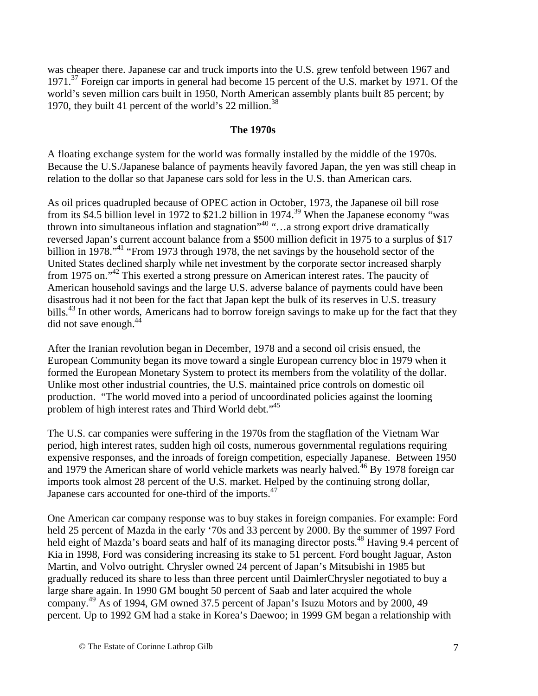was cheaper there. Japanese car and truck imports into the U.S. grew tenfold between 1967 and 1971.<sup>37</sup> Foreign car imports in general had become 15 percent of the U.S. market by 1971. Of the world's seven million cars built in 1950, North American assembly plants built 85 percent; by 1970, they built 41 percent of the world's  $22$  million.<sup>38</sup>

### **The 1970s**

A floating exchange system for the world was formally installed by the middle of the 1970s. Because the U.S./Japanese balance of payments heavily favored Japan, the yen was still cheap in relation to the dollar so that Japanese cars sold for less in the U.S. than American cars.

As oil prices quadrupled because of OPEC action in October, 1973, the Japanese oil bill rose from its \$4.5 billion level in 1972 to \$21.2 billion in 1974.<sup>39</sup> When the Japanese economy "was thrown into simultaneous inflation and stagnation<sup> $1,40$ </sup> "... a strong export drive dramatically reversed Japan's current account balance from a \$500 million deficit in 1975 to a surplus of \$17 billion in 1978."<sup>41</sup> "From 1973 through 1978, the net savings by the household sector of the United States declined sharply while net investment by the corporate sector increased sharply from 1975 on."<sup>42</sup> This exerted a strong pressure on American interest rates. The paucity of American household savings and the large U.S. adverse balance of payments could have been disastrous had it not been for the fact that Japan kept the bulk of its reserves in U.S. treasury bills.<sup>43</sup> In other words, Americans had to borrow foreign savings to make up for the fact that they did not save enough.<sup>44</sup>

 After the Iranian revolution began in December, 1978 and a second oil crisis ensued, the European Community began its move toward a single European currency bloc in 1979 when it formed the European Monetary System to protect its members from the volatility of the dollar. Unlike most other industrial countries, the U.S. maintained price controls on domestic oil production. "The world moved into a period of uncoordinated policies against the looming problem of high interest rates and Third World debt."<sup>45</sup>

The U.S. car companies were suffering in the 1970s from the stagflation of the Vietnam War period, high interest rates, sudden high oil costs, numerous governmental regulations requiring expensive responses, and the inroads of foreign competition, especially Japanese. Between 1950 and 1979 the American share of world vehicle markets was nearly halved.<sup>46</sup> By 1978 foreign car imports took almost 28 percent of the U.S. market. Helped by the continuing strong dollar, Japanese cars accounted for one-third of the imports.<sup>47</sup>

One American car company response was to buy stakes in foreign companies. For example: Ford held 25 percent of Mazda in the early '70s and 33 percent by 2000. By the summer of 1997 Ford held eight of Mazda's board seats and half of its managing director posts.<sup>48</sup> Having 9.4 percent of Kia in 1998, Ford was considering increasing its stake to 51 percent. Ford bought Jaguar, Aston Martin, and Volvo outright. Chrysler owned 24 percent of Japan's Mitsubishi in 1985 but gradually reduced its share to less than three percent until DaimlerChrysler negotiated to buy a large share again. In 1990 GM bought 50 percent of Saab and later acquired the whole company.49 As of 1994, GM owned 37.5 percent of Japan's Isuzu Motors and by 2000, 49 percent. Up to 1992 GM had a stake in Korea's Daewoo; in 1999 GM began a relationship with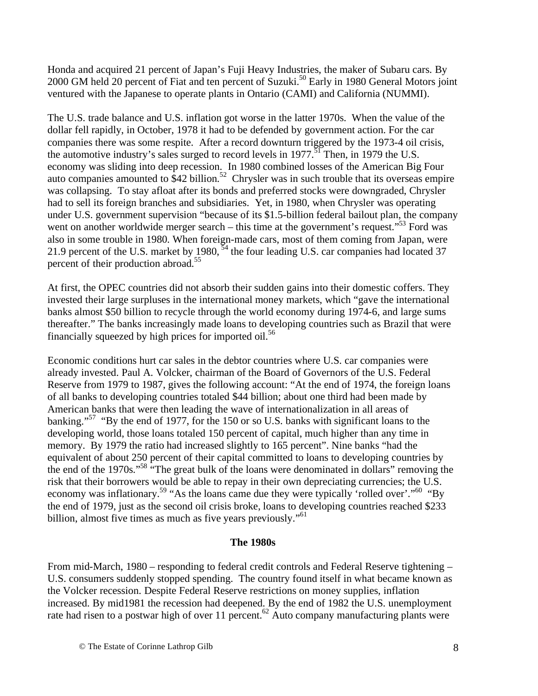Honda and acquired 21 percent of Japan's Fuji Heavy Industries, the maker of Subaru cars. By 2000 GM held 20 percent of Fiat and ten percent of Suzuki.<sup>50</sup> Early in 1980 General Motors joint ventured with the Japanese to operate plants in Ontario (CAMI) and California (NUMMI).

The U.S. trade balance and U.S. inflation got worse in the latter 1970s. When the value of the dollar fell rapidly, in October, 1978 it had to be defended by government action. For the car companies there was some respite. After a record downturn triggered by the 1973-4 oil crisis, the automotive industry's sales surged to record levels in  $1977$ <sup>51</sup>. Then, in 1979 the U.S. economy was sliding into deep recession. In 1980 combined losses of the American Big Four auto companies amounted to  $$42$  billion.<sup>52</sup> Chrysler was in such trouble that its overseas empire was collapsing. To stay afloat after its bonds and preferred stocks were downgraded, Chrysler had to sell its foreign branches and subsidiaries. Yet, in 1980, when Chrysler was operating under U.S. government supervision "because of its \$1.5-billion federal bailout plan, the company went on another worldwide merger search – this time at the government's request."<sup>53</sup> Ford was also in some trouble in 1980. When foreign-made cars, most of them coming from Japan, were 21.9 percent of the U.S. market by 1980, <sup>54</sup> the four leading U.S. car companies had located 37 percent of their production abroad.<sup>55</sup>

At first, the OPEC countries did not absorb their sudden gains into their domestic coffers. They invested their large surpluses in the international money markets, which "gave the international banks almost \$50 billion to recycle through the world economy during 1974-6, and large sums thereafter." The banks increasingly made loans to developing countries such as Brazil that were financially squeezed by high prices for imported oil.<sup>56</sup>

Economic conditions hurt car sales in the debtor countries where U.S. car companies were already invested. Paul A. Volcker, chairman of the Board of Governors of the U.S. Federal Reserve from 1979 to 1987, gives the following account: "At the end of 1974, the foreign loans of all banks to developing countries totaled \$44 billion; about one third had been made by American banks that were then leading the wave of internationalization in all areas of banking."57 "By the end of 1977, for the 150 or so U.S. banks with significant loans to the developing world, those loans totaled 150 percent of capital, much higher than any time in memory. By 1979 the ratio had increased slightly to 165 percent". Nine banks "had the equivalent of about 250 percent of their capital committed to loans to developing countries by the end of the 1970s."58 "The great bulk of the loans were denominated in dollars" removing the risk that their borrowers would be able to repay in their own depreciating currencies; the U.S. economy was inflationary.<sup>59</sup> "As the loans came due they were typically 'rolled over'."<sup>60</sup> "By the end of 1979, just as the second oil crisis broke, loans to developing countries reached \$233 billion, almost five times as much as five years previously."<sup>61</sup>

### **The 1980s**

 From mid-March, 1980 – responding to federal credit controls and Federal Reserve tightening – U.S. consumers suddenly stopped spending. The country found itself in what became known as the Volcker recession. Despite Federal Reserve restrictions on money supplies, inflation increased. By mid1981 the recession had deepened. By the end of 1982 the U.S. unemployment rate had risen to a postwar high of over 11 percent.<sup>62</sup> Auto company manufacturing plants were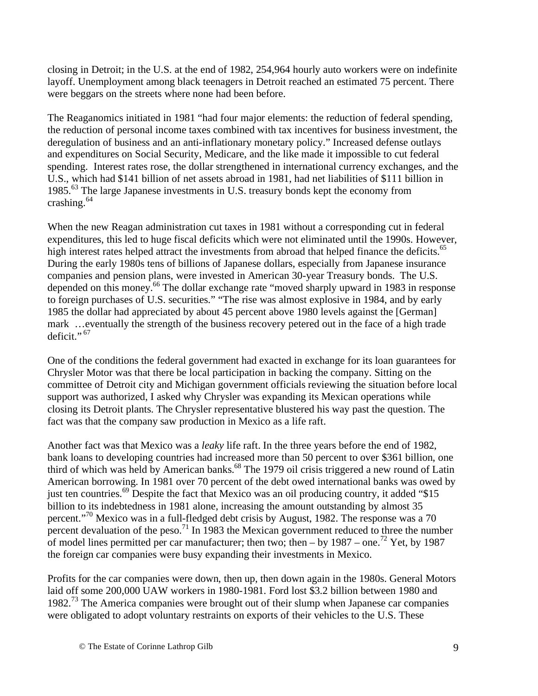closing in Detroit; in the U.S. at the end of 1982, 254,964 hourly auto workers were on indefinite layoff. Unemployment among black teenagers in Detroit reached an estimated 75 percent. There were beggars on the streets where none had been before.

The Reaganomics initiated in 1981 "had four major elements: the reduction of federal spending, the reduction of personal income taxes combined with tax incentives for business investment, the deregulation of business and an anti-inflationary monetary policy." Increased defense outlays and expenditures on Social Security, Medicare, and the like made it impossible to cut federal spending. Interest rates rose, the dollar strengthened in international currency exchanges, and the U.S., which had \$141 billion of net assets abroad in 1981, had net liabilities of \$111 billion in 1985.63 The large Japanese investments in U.S. treasury bonds kept the economy from crashing.64

 When the new Reagan administration cut taxes in 1981 without a corresponding cut in federal expenditures, this led to huge fiscal deficits which were not eliminated until the 1990s. However, high interest rates helped attract the investments from abroad that helped finance the deficits.<sup>65</sup> During the early 1980s tens of billions of Japanese dollars, especially from Japanese insurance companies and pension plans, were invested in American 30-year Treasury bonds. The U.S. depended on this money.<sup>66</sup> The dollar exchange rate "moved sharply upward in 1983 in response to foreign purchases of U.S. securities." "The rise was almost explosive in 1984, and by early 1985 the dollar had appreciated by about 45 percent above 1980 levels against the [German] mark …eventually the strength of the business recovery petered out in the face of a high trade deficit." $^{67}$ 

One of the conditions the federal government had exacted in exchange for its loan guarantees for Chrysler Motor was that there be local participation in backing the company. Sitting on the committee of Detroit city and Michigan government officials reviewing the situation before local support was authorized, I asked why Chrysler was expanding its Mexican operations while closing its Detroit plants. The Chrysler representative blustered his way past the question. The fact was that the company saw production in Mexico as a life raft.

Another fact was that Mexico was a *leaky* life raft. In the three years before the end of 1982, bank loans to developing countries had increased more than 50 percent to over \$361 billion, one third of which was held by American banks.<sup>68</sup> The 1979 oil crisis triggered a new round of Latin American borrowing. In 1981 over 70 percent of the debt owed international banks was owed by just ten countries.<sup>69</sup> Despite the fact that Mexico was an oil producing country, it added "\$15" billion to its indebtedness in 1981 alone, increasing the amount outstanding by almost 35 percent."<sup>70</sup> Mexico was in a full-fledged debt crisis by August, 1982. The response was a 70 percent devaluation of the peso.<sup>71</sup> In 1983 the Mexican government reduced to three the number of model lines permitted per car manufacturer; then two; then – by  $1987$  – one.<sup>72</sup> Yet, by 1987 the foreign car companies were busy expanding their investments in Mexico.

Profits for the car companies were down, then up, then down again in the 1980s. General Motors laid off some 200,000 UAW workers in 1980-1981. Ford lost \$3.2 billion between 1980 and 1982.<sup>73</sup> The America companies were brought out of their slump when Japanese car companies were obligated to adopt voluntary restraints on exports of their vehicles to the U.S. These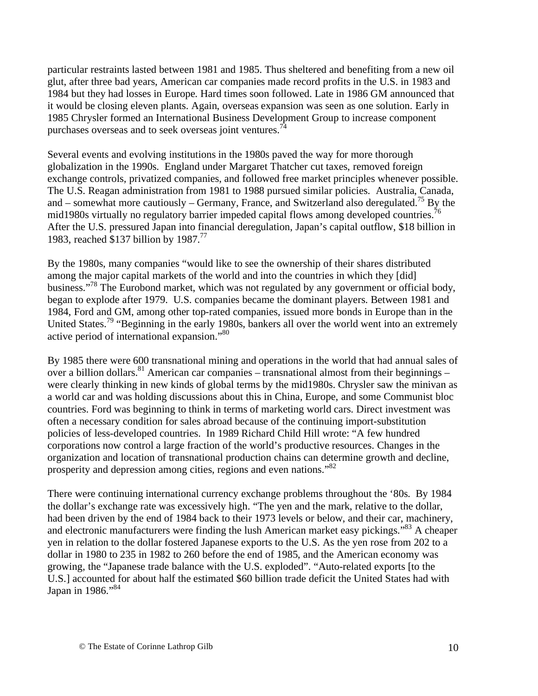particular restraints lasted between 1981 and 1985. Thus sheltered and benefiting from a new oil glut, after three bad years, American car companies made record profits in the U.S. in 1983 and 1984 but they had losses in Europe. Hard times soon followed. Late in 1986 GM announced that it would be closing eleven plants. Again, overseas expansion was seen as one solution. Early in 1985 Chrysler formed an International Business Development Group to increase component purchases overseas and to seek overseas joint ventures.<sup>7</sup>

Several events and evolving institutions in the 1980s paved the way for more thorough globalization in the 1990s. England under Margaret Thatcher cut taxes, removed foreign exchange controls, privatized companies, and followed free market principles whenever possible. The U.S. Reagan administration from 1981 to 1988 pursued similar policies. Australia, Canada, and – somewhat more cautiously – Germany, France, and Switzerland also deregulated.<sup>75</sup> By the mid1980s virtually no regulatory barrier impeded capital flows among developed countries.<sup>7</sup> After the U.S. pressured Japan into financial deregulation, Japan's capital outflow, \$18 billion in 1983, reached \$137 billion by  $1987<sup>77</sup>$ 

By the 1980s, many companies "would like to see the ownership of their shares distributed among the major capital markets of the world and into the countries in which they [did] business."<sup>78</sup> The Eurobond market, which was not regulated by any government or official body, began to explode after 1979. U.S. companies became the dominant players. Between 1981 and 1984, Ford and GM, among other top-rated companies, issued more bonds in Europe than in the United States.<sup>79</sup> "Beginning in the early 1980s, bankers all over the world went into an extremely active period of international expansion."80

By 1985 there were 600 transnational mining and operations in the world that had annual sales of over a billion dollars.<sup>81</sup> American car companies – transnational almost from their beginnings – were clearly thinking in new kinds of global terms by the mid1980s. Chrysler saw the minivan as a world car and was holding discussions about this in China, Europe, and some Communist bloc countries. Ford was beginning to think in terms of marketing world cars. Direct investment was often a necessary condition for sales abroad because of the continuing import-substitution policies of less-developed countries. In 1989 Richard Child Hill wrote: "A few hundred corporations now control a large fraction of the world's productive resources. Changes in the organization and location of transnational production chains can determine growth and decline, prosperity and depression among cities, regions and even nations."<sup>82</sup>

There were continuing international currency exchange problems throughout the '80s. By 1984 the dollar's exchange rate was excessively high. "The yen and the mark, relative to the dollar, had been driven by the end of 1984 back to their 1973 levels or below, and their car, machinery, and electronic manufacturers were finding the lush American market easy pickings."<sup>83</sup> A cheaper yen in relation to the dollar fostered Japanese exports to the U.S. As the yen rose from 202 to a dollar in 1980 to 235 in 1982 to 260 before the end of 1985, and the American economy was growing, the "Japanese trade balance with the U.S. exploded". "Auto-related exports [to the U.S.] accounted for about half the estimated \$60 billion trade deficit the United States had with Japan in 1986."<sup>84</sup>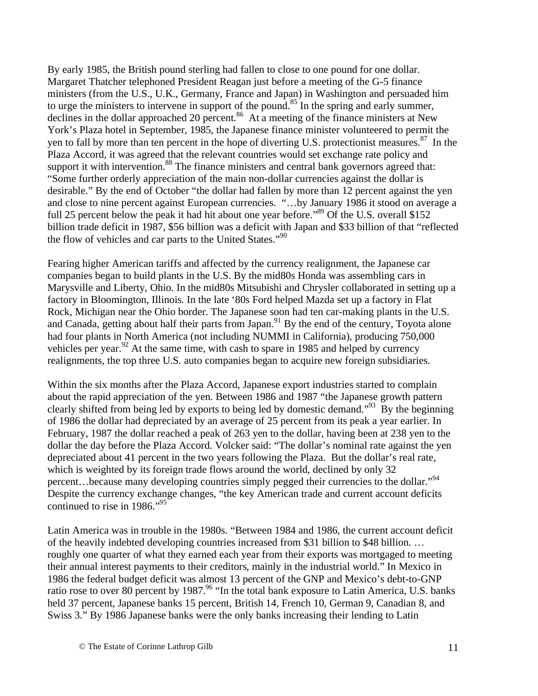By early 1985, the British pound sterling had fallen to close to one pound for one dollar. Margaret Thatcher telephoned President Reagan just before a meeting of the G-5 finance ministers (from the U.S., U.K., Germany, France and Japan) in Washington and persuaded him to urge the ministers to intervene in support of the pound.<sup>85</sup> In the spring and early summer, declines in the dollar approached 20 percent.<sup>86</sup> At a meeting of the finance ministers at New York's Plaza hotel in September, 1985, the Japanese finance minister volunteered to permit the yen to fall by more than ten percent in the hope of diverting U.S. protectionist measures.<sup>87</sup> In the Plaza Accord, it was agreed that the relevant countries would set exchange rate policy and support it with intervention.<sup>88</sup> The finance ministers and central bank governors agreed that: "Some further orderly appreciation of the main non-dollar currencies against the dollar is desirable." By the end of October "the dollar had fallen by more than 12 percent against the yen and close to nine percent against European currencies. "…by January 1986 it stood on average a full 25 percent below the peak it had hit about one year before."<sup>89</sup> Of the U.S. overall \$152 billion trade deficit in 1987, \$56 billion was a deficit with Japan and \$33 billion of that "reflected the flow of vehicles and car parts to the United States."<sup>90</sup>

Fearing higher American tariffs and affected by the currency realignment, the Japanese car companies began to build plants in the U.S. By the mid80s Honda was assembling cars in Marysville and Liberty, Ohio. In the mid80s Mitsubishi and Chrysler collaborated in setting up a factory in Bloomington, Illinois. In the late '80s Ford helped Mazda set up a factory in Flat Rock, Michigan near the Ohio border. The Japanese soon had ten car-making plants in the U.S. and Canada, getting about half their parts from Japan.<sup>91</sup> By the end of the century, Toyota alone had four plants in North America (not including NUMMI in California), producing 750,000 vehicles per year.<sup>92</sup> At the same time, with cash to spare in 1985 and helped by currency realignments, the top three U.S. auto companies began to acquire new foreign subsidiaries.

Within the six months after the Plaza Accord, Japanese export industries started to complain about the rapid appreciation of the yen. Between 1986 and 1987 "the Japanese growth pattern clearly shifted from being led by exports to being led by domestic demand."<sup>93</sup> By the beginning of 1986 the dollar had depreciated by an average of 25 percent from its peak a year earlier. In February, 1987 the dollar reached a peak of 263 yen to the dollar, having been at 238 yen to the dollar the day before the Plaza Accord. Volcker said: "The dollar's nominal rate against the yen depreciated about 41 percent in the two years following the Plaza. But the dollar's real rate, which is weighted by its foreign trade flows around the world, declined by only 32 percent…because many developing countries simply pegged their currencies to the dollar."<sup>94</sup> Despite the currency exchange changes, "the key American trade and current account deficits continued to rise in 1986."<sup>95</sup>

Latin America was in trouble in the 1980s. "Between 1984 and 1986, the current account deficit of the heavily indebted developing countries increased from \$31 billion to \$48 billion. … roughly one quarter of what they earned each year from their exports was mortgaged to meeting their annual interest payments to their creditors, mainly in the industrial world." In Mexico in 1986 the federal budget deficit was almost 13 percent of the GNP and Mexico's debt-to-GNP ratio rose to over 80 percent by 1987.<sup>96</sup> "In the total bank exposure to Latin America, U.S. banks held 37 percent, Japanese banks 15 percent, British 14, French 10, German 9, Canadian 8, and Swiss 3." By 1986 Japanese banks were the only banks increasing their lending to Latin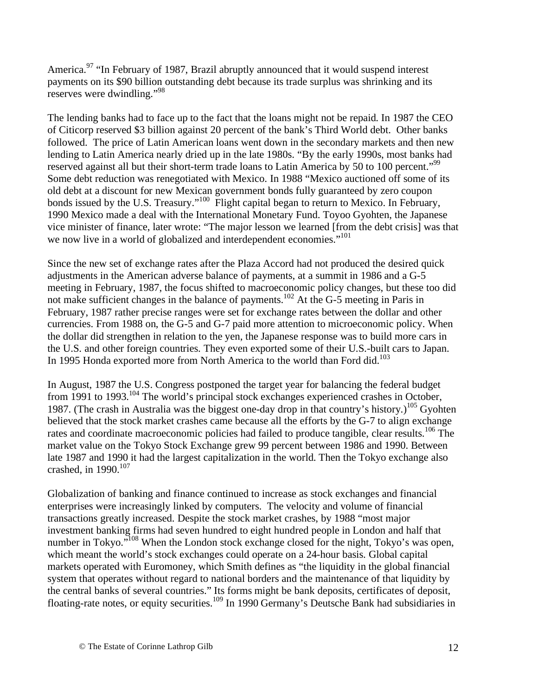America.<sup>97</sup> "In February of 1987, Brazil abruptly announced that it would suspend interest payments on its \$90 billion outstanding debt because its trade surplus was shrinking and its reserves were dwindling."98

The lending banks had to face up to the fact that the loans might not be repaid. In 1987 the CEO of Citicorp reserved \$3 billion against 20 percent of the bank's Third World debt. Other banks followed. The price of Latin American loans went down in the secondary markets and then new lending to Latin America nearly dried up in the late 1980s. "By the early 1990s, most banks had reserved against all but their short-term trade loans to Latin America by 50 to 100 percent."<sup>99</sup> Some debt reduction was renegotiated with Mexico. In 1988 "Mexico auctioned off some of its old debt at a discount for new Mexican government bonds fully guaranteed by zero coupon bonds issued by the U.S. Treasury."<sup>100</sup> Flight capital began to return to Mexico. In February, 1990 Mexico made a deal with the International Monetary Fund. Toyoo Gyohten, the Japanese vice minister of finance, later wrote: "The major lesson we learned [from the debt crisis] was that we now live in a world of globalized and interdependent economies."<sup>101</sup>

Since the new set of exchange rates after the Plaza Accord had not produced the desired quick adjustments in the American adverse balance of payments, at a summit in 1986 and a G-5 meeting in February, 1987, the focus shifted to macroeconomic policy changes, but these too did not make sufficient changes in the balance of payments.<sup>102</sup> At the G-5 meeting in Paris in February, 1987 rather precise ranges were set for exchange rates between the dollar and other currencies. From 1988 on, the G-5 and G-7 paid more attention to microeconomic policy. When the dollar did strengthen in relation to the yen, the Japanese response was to build more cars in the U.S. and other foreign countries. They even exported some of their U.S.-built cars to Japan. In 1995 Honda exported more from North America to the world than Ford did.<sup>103</sup>

In August, 1987 the U.S. Congress postponed the target year for balancing the federal budget from 1991 to 1993.<sup>104</sup> The world's principal stock exchanges experienced crashes in October, 1987. (The crash in Australia was the biggest one-day drop in that country's history.)<sup>105</sup> Gyohten believed that the stock market crashes came because all the efforts by the G-7 to align exchange rates and coordinate macroeconomic policies had failed to produce tangible, clear results.<sup>106</sup> The market value on the Tokyo Stock Exchange grew 99 percent between 1986 and 1990. Between late 1987 and 1990 it had the largest capitalization in the world. Then the Tokyo exchange also crashed, in  $1990.<sup>107</sup>$ 

Globalization of banking and finance continued to increase as stock exchanges and financial enterprises were increasingly linked by computers. The velocity and volume of financial transactions greatly increased. Despite the stock market crashes, by 1988 "most major investment banking firms had seven hundred to eight hundred people in London and half that number in Tokyo."<sup>108</sup> When the London stock exchange closed for the night, Tokyo's was open, which meant the world's stock exchanges could operate on a 24-hour basis. Global capital markets operated with Euromoney, which Smith defines as "the liquidity in the global financial system that operates without regard to national borders and the maintenance of that liquidity by the central banks of several countries." Its forms might be bank deposits, certificates of deposit, floating-rate notes, or equity securities.<sup>109</sup> In 1990 Germany's Deutsche Bank had subsidiaries in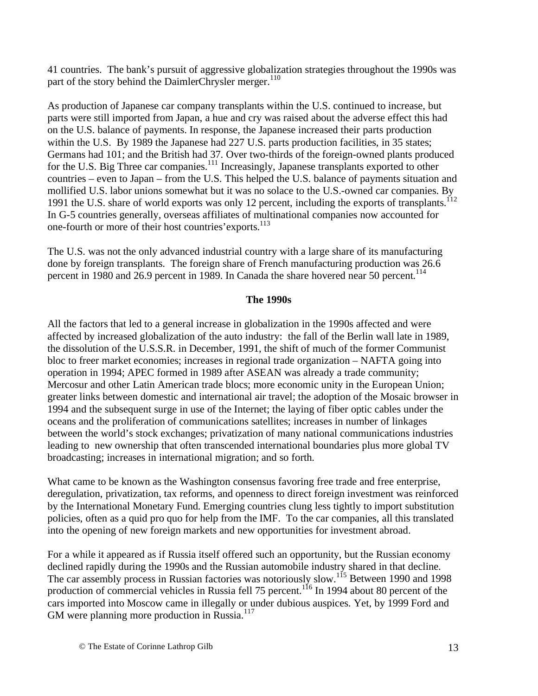41 countries. The bank's pursuit of aggressive globalization strategies throughout the 1990s was part of the story behind the DaimlerChrysler merger.<sup>110</sup>

As production of Japanese car company transplants within the U.S. continued to increase, but parts were still imported from Japan, a hue and cry was raised about the adverse effect this had on the U.S. balance of payments. In response, the Japanese increased their parts production within the U.S. By 1989 the Japanese had 227 U.S. parts production facilities, in 35 states; Germans had 101; and the British had 37. Over two-thirds of the foreign-owned plants produced for the U.S. Big Three car companies.<sup>111</sup> Increasingly, Japanese transplants exported to other countries – even to Japan – from the U.S. This helped the U.S. balance of payments situation and mollified U.S. labor unions somewhat but it was no solace to the U.S.-owned car companies. By 1991 the U.S. share of world exports was only 12 percent, including the exports of transplants.<sup>112</sup> In G-5 countries generally, overseas affiliates of multinational companies now accounted for one-fourth or more of their host countries' exports.<sup>113</sup>

The U.S. was not the only advanced industrial country with a large share of its manufacturing done by foreign transplants. The foreign share of French manufacturing production was 26.6 percent in 1980 and 26.9 percent in 1989. In Canada the share hovered near 50 percent.<sup>114</sup>

### **The 1990s**

All the factors that led to a general increase in globalization in the 1990s affected and were affected by increased globalization of the auto industry: the fall of the Berlin wall late in 1989, the dissolution of the U.S.S.R. in December, 1991, the shift of much of the former Communist bloc to freer market economies; increases in regional trade organization – NAFTA going into operation in 1994; APEC formed in 1989 after ASEAN was already a trade community; Mercosur and other Latin American trade blocs; more economic unity in the European Union; greater links between domestic and international air travel; the adoption of the Mosaic browser in 1994 and the subsequent surge in use of the Internet; the laying of fiber optic cables under the oceans and the proliferation of communications satellites; increases in number of linkages between the world's stock exchanges; privatization of many national communications industries leading to new ownership that often transcended international boundaries plus more global TV broadcasting; increases in international migration; and so forth.

What came to be known as the Washington consensus favoring free trade and free enterprise, deregulation, privatization, tax reforms, and openness to direct foreign investment was reinforced by the International Monetary Fund. Emerging countries clung less tightly to import substitution policies, often as a quid pro quo for help from the IMF. To the car companies, all this translated into the opening of new foreign markets and new opportunities for investment abroad.

For a while it appeared as if Russia itself offered such an opportunity, but the Russian economy declined rapidly during the 1990s and the Russian automobile industry shared in that decline. The car assembly process in Russian factories was notoriously slow.<sup>115</sup> Between 1990 and 1998 production of commercial vehicles in Russia fell 75 percent.<sup>116</sup> In 1994 about 80 percent of the cars imported into Moscow came in illegally or under dubious auspices. Yet, by 1999 Ford and GM were planning more production in Russia.<sup>117</sup>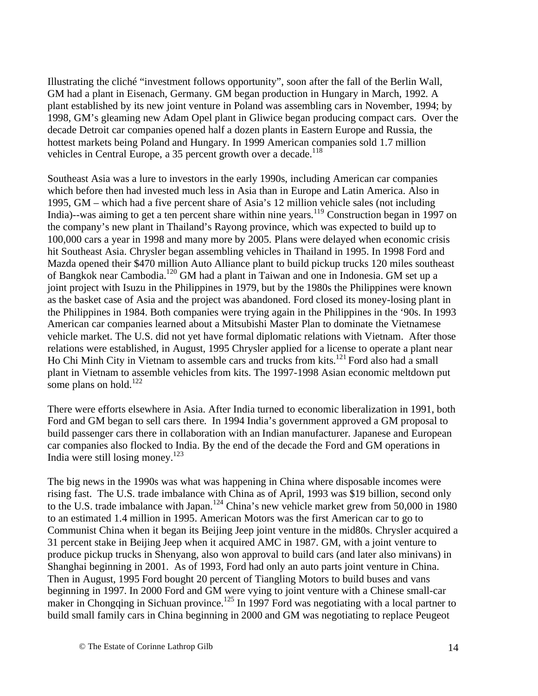Illustrating the cliché "investment follows opportunity", soon after the fall of the Berlin Wall, GM had a plant in Eisenach, Germany. GM began production in Hungary in March, 1992. A plant established by its new joint venture in Poland was assembling cars in November, 1994; by 1998, GM's gleaming new Adam Opel plant in Gliwice began producing compact cars. Over the decade Detroit car companies opened half a dozen plants in Eastern Europe and Russia, the hottest markets being Poland and Hungary. In 1999 American companies sold 1.7 million vehicles in Central Europe, a 35 percent growth over a decade.<sup>118</sup>

Southeast Asia was a lure to investors in the early 1990s, including American car companies which before then had invested much less in Asia than in Europe and Latin America. Also in 1995, GM – which had a five percent share of Asia's 12 million vehicle sales (not including India)--was aiming to get a ten percent share within nine years.<sup>119</sup> Construction began in 1997 on the company's new plant in Thailand's Rayong province, which was expected to build up to 100,000 cars a year in 1998 and many more by 2005. Plans were delayed when economic crisis hit Southeast Asia. Chrysler began assembling vehicles in Thailand in 1995. In 1998 Ford and Mazda opened their \$470 million Auto Alliance plant to build pickup trucks 120 miles southeast of Bangkok near Cambodia.120 GM had a plant in Taiwan and one in Indonesia. GM set up a joint project with Isuzu in the Philippines in 1979, but by the 1980s the Philippines were known as the basket case of Asia and the project was abandoned. Ford closed its money-losing plant in the Philippines in 1984. Both companies were trying again in the Philippines in the '90s. In 1993 American car companies learned about a Mitsubishi Master Plan to dominate the Vietnamese vehicle market. The U.S. did not yet have formal diplomatic relations with Vietnam. After those relations were established, in August, 1995 Chrysler applied for a license to operate a plant near Ho Chi Minh City in Vietnam to assemble cars and trucks from kits.<sup>121</sup> Ford also had a small plant in Vietnam to assemble vehicles from kits. The 1997-1998 Asian economic meltdown put some plans on hold.<sup>122</sup>

There were efforts elsewhere in Asia. After India turned to economic liberalization in 1991, both Ford and GM began to sell cars there. In 1994 India's government approved a GM proposal to build passenger cars there in collaboration with an Indian manufacturer. Japanese and European car companies also flocked to India. By the end of the decade the Ford and GM operations in India were still losing money.123

The big news in the 1990s was what was happening in China where disposable incomes were rising fast. The U.S. trade imbalance with China as of April, 1993 was \$19 billion, second only to the U.S. trade imbalance with Japan.<sup>124</sup> China's new vehicle market grew from 50,000 in 1980 to an estimated 1.4 million in 1995. American Motors was the first American car to go to Communist China when it began its Beijing Jeep joint venture in the mid80s. Chrysler acquired a 31 percent stake in Beijing Jeep when it acquired AMC in 1987. GM, with a joint venture to produce pickup trucks in Shenyang, also won approval to build cars (and later also minivans) in Shanghai beginning in 2001. As of 1993, Ford had only an auto parts joint venture in China. Then in August, 1995 Ford bought 20 percent of Tiangling Motors to build buses and vans beginning in 1997. In 2000 Ford and GM were vying to joint venture with a Chinese small-car maker in Chongqing in Sichuan province.<sup>125</sup> In 1997 Ford was negotiating with a local partner to build small family cars in China beginning in 2000 and GM was negotiating to replace Peugeot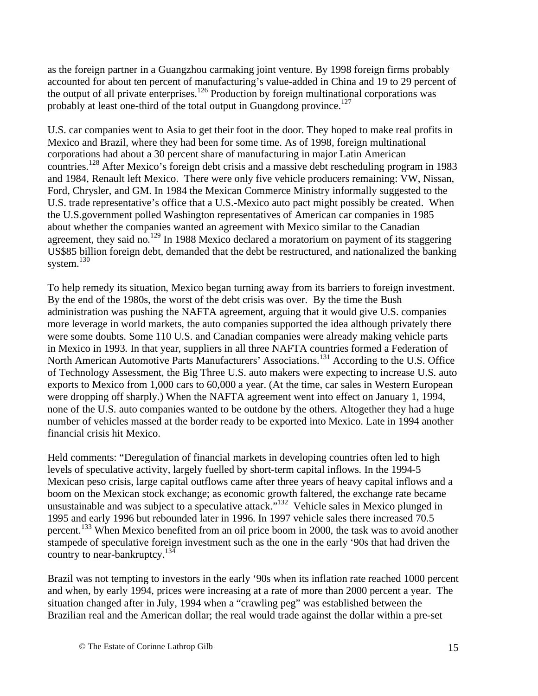as the foreign partner in a Guangzhou carmaking joint venture. By 1998 foreign firms probably accounted for about ten percent of manufacturing's value-added in China and 19 to 29 percent of the output of all private enterprises.<sup>126</sup> Production by foreign multinational corporations was probably at least one-third of the total output in Guangdong province.<sup>127</sup>

U.S. car companies went to Asia to get their foot in the door. They hoped to make real profits in Mexico and Brazil, where they had been for some time. As of 1998, foreign multinational corporations had about a 30 percent share of manufacturing in major Latin American countries.128 After Mexico's foreign debt crisis and a massive debt rescheduling program in 1983 and 1984, Renault left Mexico. There were only five vehicle producers remaining: VW, Nissan, Ford, Chrysler, and GM. In 1984 the Mexican Commerce Ministry informally suggested to the U.S. trade representative's office that a U.S.-Mexico auto pact might possibly be created. When the U.S.government polled Washington representatives of American car companies in 1985 about whether the companies wanted an agreement with Mexico similar to the Canadian agreement, they said no.<sup>129</sup> In 1988 Mexico declared a moratorium on payment of its staggering US\$85 billion foreign debt, demanded that the debt be restructured, and nationalized the banking system.<sup>130</sup>

To help remedy its situation, Mexico began turning away from its barriers to foreign investment. By the end of the 1980s, the worst of the debt crisis was over. By the time the Bush administration was pushing the NAFTA agreement, arguing that it would give U.S. companies more leverage in world markets, the auto companies supported the idea although privately there were some doubts. Some 110 U.S. and Canadian companies were already making vehicle parts in Mexico in 1993. In that year, suppliers in all three NAFTA countries formed a Federation of North American Automotive Parts Manufacturers' Associations.<sup>131</sup> According to the U.S. Office of Technology Assessment, the Big Three U.S. auto makers were expecting to increase U.S. auto exports to Mexico from 1,000 cars to 60,000 a year. (At the time, car sales in Western European were dropping off sharply.) When the NAFTA agreement went into effect on January 1, 1994, none of the U.S. auto companies wanted to be outdone by the others. Altogether they had a huge number of vehicles massed at the border ready to be exported into Mexico. Late in 1994 another financial crisis hit Mexico.

Held comments: "Deregulation of financial markets in developing countries often led to high levels of speculative activity, largely fuelled by short-term capital inflows. In the 1994-5 Mexican peso crisis, large capital outflows came after three years of heavy capital inflows and a boom on the Mexican stock exchange; as economic growth faltered, the exchange rate became unsustainable and was subject to a speculative attack."<sup>132</sup> Vehicle sales in Mexico plunged in 1995 and early 1996 but rebounded later in 1996. In 1997 vehicle sales there increased 70.5 percent.<sup>133</sup> When Mexico benefited from an oil price boom in 2000, the task was to avoid another stampede of speculative foreign investment such as the one in the early '90s that had driven the country to near-bankruptcy.<sup>134</sup>

Brazil was not tempting to investors in the early '90s when its inflation rate reached 1000 percent and when, by early 1994, prices were increasing at a rate of more than 2000 percent a year. The situation changed after in July, 1994 when a "crawling peg" was established between the Brazilian real and the American dollar; the real would trade against the dollar within a pre-set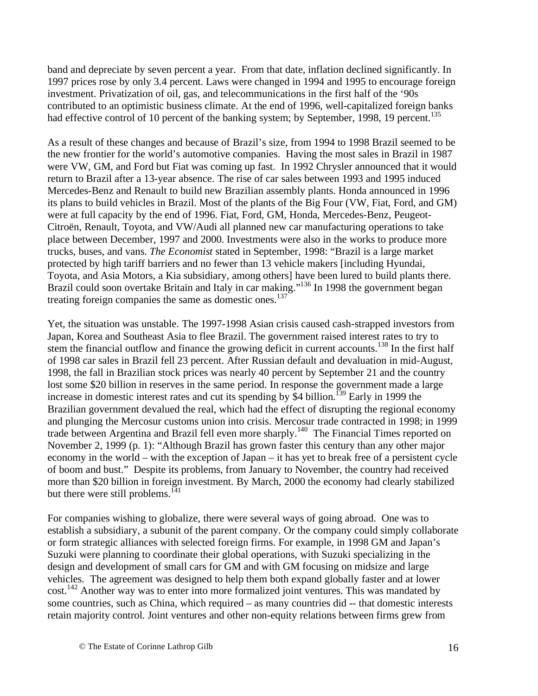band and depreciate by seven percent a year. From that date, inflation declined significantly. In 1997 prices rose by only 3.4 percent. Laws were changed in 1994 and 1995 to encourage foreign investment. Privatization of oil, gas, and telecommunications in the first half of the '90s contributed to an optimistic business climate. At the end of 1996, well-capitalized foreign banks had effective control of 10 percent of the banking system; by September, 1998, 19 percent.<sup>135</sup>

As a result of these changes and because of Brazil's size, from 1994 to 1998 Brazil seemed to be the new frontier for the world's automotive companies. Having the most sales in Brazil in 1987 were VW, GM, and Ford but Fiat was coming up fast. In 1992 Chrysler announced that it would return to Brazil after a 13-year absence. The rise of car sales between 1993 and 1995 induced Mercedes-Benz and Renault to build new Brazilian assembly plants. Honda announced in 1996 its plans to build vehicles in Brazil. Most of the plants of the Big Four (VW, Fiat, Ford, and GM) were at full capacity by the end of 1996. Fiat, Ford, GM, Honda, Mercedes-Benz, Peugeot-Citroën, Renault, Toyota, and VW/Audi all planned new car manufacturing operations to take place between December, 1997 and 2000. Investments were also in the works to produce more trucks, buses, and vans. *The Economist* stated in September, 1998: "Brazil is a large market protected by high tariff barriers and no fewer than 13 vehicle makers [including Hyundai, Toyota, and Asia Motors, a Kia subsidiary, among others] have been lured to build plants there. Brazil could soon overtake Britain and Italy in car making."<sup>136</sup> In 1998 the government began treating foreign companies the same as domestic ones.<sup>137</sup>

Yet, the situation was unstable. The 1997-1998 Asian crisis caused cash-strapped investors from Japan, Korea and Southeast Asia to flee Brazil. The government raised interest rates to try to stem the financial outflow and finance the growing deficit in current accounts.<sup>138</sup> In the first half of 1998 car sales in Brazil fell 23 percent. After Russian default and devaluation in mid-August, 1998, the fall in Brazilian stock prices was nearly 40 percent by September 21 and the country lost some \$20 billion in reserves in the same period. In response the government made a large increase in domestic interest rates and cut its spending by  $$4$  billion.<sup>139</sup> Early in 1999 the Brazilian government devalued the real, which had the effect of disrupting the regional economy and plunging the Mercosur customs union into crisis. Mercosur trade contracted in 1998; in 1999 trade between Argentina and Brazil fell even more sharply.<sup>140</sup> The Financial Times reported on November 2, 1999 (p. 1): "Although Brazil has grown faster this century than any other major economy in the world – with the exception of Japan – it has yet to break free of a persistent cycle of boom and bust." Despite its problems, from January to November, the country had received more than \$20 billion in foreign investment. By March, 2000 the economy had clearly stabilized but there were still problems.<sup>141</sup>

For companies wishing to globalize, there were several ways of going abroad. One was to establish a subsidiary, a subunit of the parent company. Or the company could simply collaborate or form strategic alliances with selected foreign firms. For example, in 1998 GM and Japan's Suzuki were planning to coordinate their global operations, with Suzuki specializing in the design and development of small cars for GM and with GM focusing on midsize and large vehicles. The agreement was designed to help them both expand globally faster and at lower cost.<sup>142</sup> Another way was to enter into more formalized joint ventures. This was mandated by some countries, such as China, which required – as many countries did -- that domestic interests retain majority control. Joint ventures and other non-equity relations between firms grew from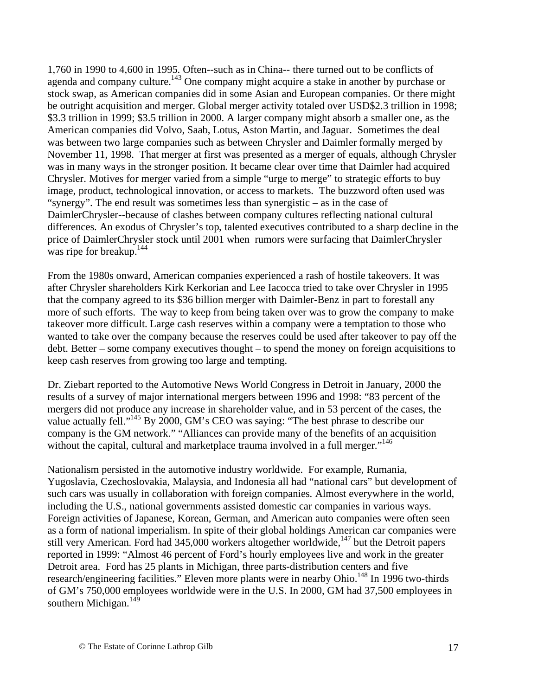1,760 in 1990 to 4,600 in 1995. Often--such as in China-- there turned out to be conflicts of agenda and company culture.<sup>143</sup> One company might acquire a stake in another by purchase or stock swap, as American companies did in some Asian and European companies. Or there might be outright acquisition and merger. Global merger activity totaled over USD\$2.3 trillion in 1998; \$3.3 trillion in 1999; \$3.5 trillion in 2000. A larger company might absorb a smaller one, as the American companies did Volvo, Saab, Lotus, Aston Martin, and Jaguar. Sometimes the deal was between two large companies such as between Chrysler and Daimler formally merged by November 11, 1998. That merger at first was presented as a merger of equals, although Chrysler was in many ways in the stronger position. It became clear over time that Daimler had acquired Chrysler. Motives for merger varied from a simple "urge to merge" to strategic efforts to buy image, product, technological innovation, or access to markets. The buzzword often used was "synergy". The end result was sometimes less than synergistic – as in the case of DaimlerChrysler--because of clashes between company cultures reflecting national cultural differences. An exodus of Chrysler's top, talented executives contributed to a sharp decline in the price of DaimlerChrysler stock until 2001 when rumors were surfacing that DaimlerChrysler was ripe for breakup.<sup>144</sup>

From the 1980s onward, American companies experienced a rash of hostile takeovers. It was after Chrysler shareholders Kirk Kerkorian and Lee Iacocca tried to take over Chrysler in 1995 that the company agreed to its \$36 billion merger with Daimler-Benz in part to forestall any more of such efforts. The way to keep from being taken over was to grow the company to make takeover more difficult. Large cash reserves within a company were a temptation to those who wanted to take over the company because the reserves could be used after takeover to pay off the debt. Better – some company executives thought – to spend the money on foreign acquisitions to keep cash reserves from growing too large and tempting.

Dr. Ziebart reported to the Automotive News World Congress in Detroit in January, 2000 the results of a survey of major international mergers between 1996 and 1998: "83 percent of the mergers did not produce any increase in shareholder value, and in 53 percent of the cases, the value actually fell."145 By 2000, GM's CEO was saying: "The best phrase to describe our company is the GM network." "Alliances can provide many of the benefits of an acquisition without the capital, cultural and marketplace trauma involved in a full merger."<sup>146</sup>

Nationalism persisted in the automotive industry worldwide. For example, Rumania, Yugoslavia, Czechoslovakia, Malaysia, and Indonesia all had "national cars" but development of such cars was usually in collaboration with foreign companies. Almost everywhere in the world, including the U.S., national governments assisted domestic car companies in various ways. Foreign activities of Japanese, Korean, German, and American auto companies were often seen as a form of national imperialism. In spite of their global holdings American car companies were still very American. Ford had  $345,000$  workers altogether worldwide,<sup>147</sup> but the Detroit papers reported in 1999: "Almost 46 percent of Ford's hourly employees live and work in the greater Detroit area. Ford has 25 plants in Michigan, three parts-distribution centers and five research/engineering facilities." Eleven more plants were in nearby Ohio.<sup>148</sup> In 1996 two-thirds of GM's 750,000 employees worldwide were in the U.S. In 2000, GM had 37,500 employees in southern Michigan. $^{149}$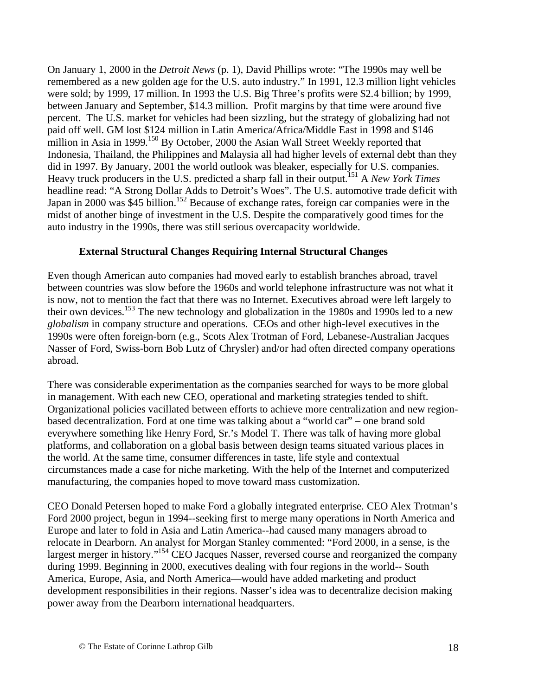On January 1, 2000 in the *Detroit News* (p. 1), David Phillips wrote: "The 1990s may well be remembered as a new golden age for the U.S. auto industry." In 1991, 12.3 million light vehicles were sold; by 1999, 17 million. In 1993 the U.S. Big Three's profits were \$2.4 billion; by 1999, between January and September, \$14.3 million. Profit margins by that time were around five percent. The U.S. market for vehicles had been sizzling, but the strategy of globalizing had not paid off well. GM lost \$124 million in Latin America/Africa/Middle East in 1998 and \$146 million in Asia in 1999.<sup>150</sup> By October, 2000 the Asian Wall Street Weekly reported that Indonesia, Thailand, the Philippines and Malaysia all had higher levels of external debt than they did in 1997. By January, 2001 the world outlook was bleaker, especially for U.S. companies. Heavy truck producers in the U.S. predicted a sharp fall in their output.<sup>151</sup> A *New York Times* headline read: "A Strong Dollar Adds to Detroit's Woes". The U.S. automotive trade deficit with Japan in 2000 was \$45 billion.<sup>152</sup> Because of exchange rates, foreign car companies were in the midst of another binge of investment in the U.S. Despite the comparatively good times for the auto industry in the 1990s, there was still serious overcapacity worldwide.

# **External Structural Changes Requiring Internal Structural Changes**

Even though American auto companies had moved early to establish branches abroad, travel between countries was slow before the 1960s and world telephone infrastructure was not what it is now, not to mention the fact that there was no Internet. Executives abroad were left largely to their own devices.<sup>153</sup> The new technology and globalization in the 1980s and 1990s led to a new *globalism* in company structure and operations. CEOs and other high-level executives in the 1990s were often foreign-born (e.g., Scots Alex Trotman of Ford, Lebanese-Australian Jacques Nasser of Ford, Swiss-born Bob Lutz of Chrysler) and/or had often directed company operations abroad.

There was considerable experimentation as the companies searched for ways to be more global in management. With each new CEO, operational and marketing strategies tended to shift. Organizational policies vacillated between efforts to achieve more centralization and new regionbased decentralization. Ford at one time was talking about a "world car" – one brand sold everywhere something like Henry Ford, Sr.'s Model T. There was talk of having more global platforms, and collaboration on a global basis between design teams situated various places in the world. At the same time, consumer differences in taste, life style and contextual circumstances made a case for niche marketing. With the help of the Internet and computerized manufacturing, the companies hoped to move toward mass customization.

CEO Donald Petersen hoped to make Ford a globally integrated enterprise. CEO Alex Trotman's Ford 2000 project, begun in 1994--seeking first to merge many operations in North America and Europe and later to fold in Asia and Latin America--had caused many managers abroad to relocate in Dearborn. An analyst for Morgan Stanley commented: "Ford 2000, in a sense, is the largest merger in history."<sup>154</sup> CEO Jacques Nasser, reversed course and reorganized the company during 1999. Beginning in 2000, executives dealing with four regions in the world-- South America, Europe, Asia, and North America—would have added marketing and product development responsibilities in their regions. Nasser's idea was to decentralize decision making power away from the Dearborn international headquarters.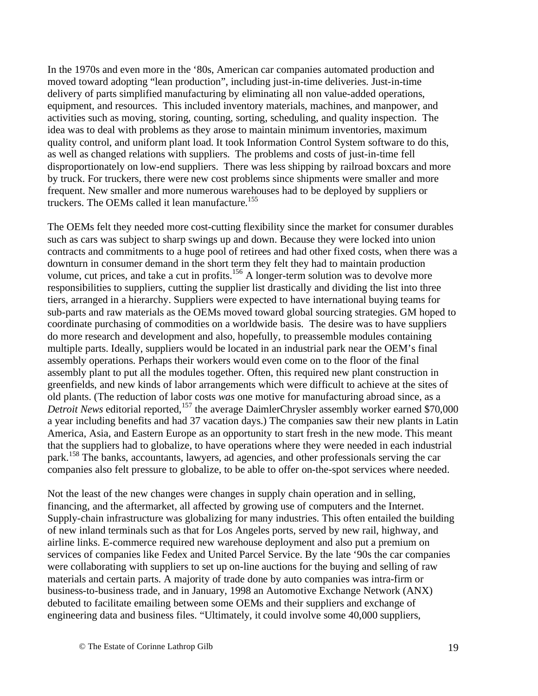In the 1970s and even more in the '80s, American car companies automated production and moved toward adopting "lean production", including just-in-time deliveries. Just-in-time delivery of parts simplified manufacturing by eliminating all non value-added operations, equipment, and resources. This included inventory materials, machines, and manpower, and activities such as moving, storing, counting, sorting, scheduling, and quality inspection. The idea was to deal with problems as they arose to maintain minimum inventories, maximum quality control, and uniform plant load. It took Information Control System software to do this, as well as changed relations with suppliers. The problems and costs of just-in-time fell disproportionately on low-end suppliers. There was less shipping by railroad boxcars and more by truck. For truckers, there were new cost problems since shipments were smaller and more frequent. New smaller and more numerous warehouses had to be deployed by suppliers or truckers. The OEMs called it lean manufacture.<sup>155</sup>

The OEMs felt they needed more cost-cutting flexibility since the market for consumer durables such as cars was subject to sharp swings up and down. Because they were locked into union contracts and commitments to a huge pool of retirees and had other fixed costs, when there was a downturn in consumer demand in the short term they felt they had to maintain production volume, cut prices, and take a cut in profits.<sup>156</sup> A longer-term solution was to devolve more responsibilities to suppliers, cutting the supplier list drastically and dividing the list into three tiers, arranged in a hierarchy. Suppliers were expected to have international buying teams for sub-parts and raw materials as the OEMs moved toward global sourcing strategies. GM hoped to coordinate purchasing of commodities on a worldwide basis. The desire was to have suppliers do more research and development and also, hopefully, to preassemble modules containing multiple parts. Ideally, suppliers would be located in an industrial park near the OEM's final assembly operations. Perhaps their workers would even come on to the floor of the final assembly plant to put all the modules together. Often, this required new plant construction in greenfields, and new kinds of labor arrangements which were difficult to achieve at the sites of old plants. (The reduction of labor costs *was* one motive for manufacturing abroad since, as a *Detroit News* editorial reported,<sup>157</sup> the average DaimlerChrysler assembly worker earned \$70,000 a year including benefits and had 37 vacation days.) The companies saw their new plants in Latin America, Asia, and Eastern Europe as an opportunity to start fresh in the new mode. This meant that the suppliers had to globalize, to have operations where they were needed in each industrial park.158 The banks, accountants, lawyers, ad agencies, and other professionals serving the car companies also felt pressure to globalize, to be able to offer on-the-spot services where needed.

Not the least of the new changes were changes in supply chain operation and in selling, financing, and the aftermarket, all affected by growing use of computers and the Internet. Supply-chain infrastructure was globalizing for many industries. This often entailed the building of new inland terminals such as that for Los Angeles ports, served by new rail, highway, and airline links. E-commerce required new warehouse deployment and also put a premium on services of companies like Fedex and United Parcel Service. By the late '90s the car companies were collaborating with suppliers to set up on-line auctions for the buying and selling of raw materials and certain parts. A majority of trade done by auto companies was intra-firm or business-to-business trade, and in January, 1998 an Automotive Exchange Network (ANX) debuted to facilitate emailing between some OEMs and their suppliers and exchange of engineering data and business files. "Ultimately, it could involve some 40,000 suppliers,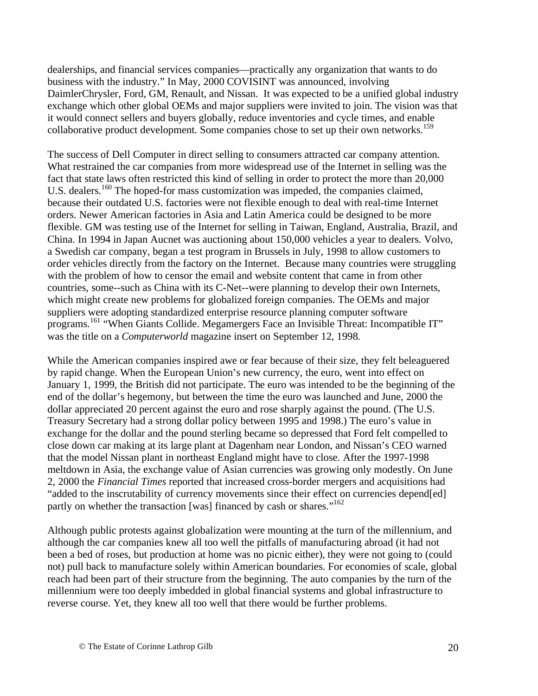dealerships, and financial services companies—practically any organization that wants to do business with the industry." In May, 2000 COVISINT was announced, involving DaimlerChrysler, Ford, GM, Renault, and Nissan. It was expected to be a unified global industry exchange which other global OEMs and major suppliers were invited to join. The vision was that it would connect sellers and buyers globally, reduce inventories and cycle times, and enable collaborative product development. Some companies chose to set up their own networks.<sup>159</sup>

The success of Dell Computer in direct selling to consumers attracted car company attention. What restrained the car companies from more widespread use of the Internet in selling was the fact that state laws often restricted this kind of selling in order to protect the more than 20,000 U.S. dealers.<sup>160</sup> The hoped-for mass customization was impeded, the companies claimed, because their outdated U.S. factories were not flexible enough to deal with real-time Internet orders. Newer American factories in Asia and Latin America could be designed to be more flexible. GM was testing use of the Internet for selling in Taiwan, England, Australia, Brazil, and China. In 1994 in Japan Aucnet was auctioning about 150,000 vehicles a year to dealers. Volvo, a Swedish car company, began a test program in Brussels in July, 1998 to allow customers to order vehicles directly from the factory on the Internet. Because many countries were struggling with the problem of how to censor the email and website content that came in from other countries, some--such as China with its C-Net--were planning to develop their own Internets, which might create new problems for globalized foreign companies. The OEMs and major suppliers were adopting standardized enterprise resource planning computer software programs.<sup>161</sup> "When Giants Collide. Megamergers Face an Invisible Threat: Incompatible IT" was the title on a *Computerworld* magazine insert on September 12, 1998.

While the American companies inspired awe or fear because of their size, they felt beleaguered by rapid change. When the European Union's new currency, the euro, went into effect on January 1, 1999, the British did not participate. The euro was intended to be the beginning of the end of the dollar's hegemony, but between the time the euro was launched and June, 2000 the dollar appreciated 20 percent against the euro and rose sharply against the pound. (The U.S. Treasury Secretary had a strong dollar policy between 1995 and 1998.) The euro's value in exchange for the dollar and the pound sterling became so depressed that Ford felt compelled to close down car making at its large plant at Dagenham near London, and Nissan's CEO warned that the model Nissan plant in northeast England might have to close. After the 1997-1998 meltdown in Asia, the exchange value of Asian currencies was growing only modestly. On June 2, 2000 the *Financial Times* reported that increased cross-border mergers and acquisitions had "added to the inscrutability of currency movements since their effect on currencies depend[ed] partly on whether the transaction [was] financed by cash or shares."<sup>162</sup>

Although public protests against globalization were mounting at the turn of the millennium, and although the car companies knew all too well the pitfalls of manufacturing abroad (it had not been a bed of roses, but production at home was no picnic either), they were not going to (could not) pull back to manufacture solely within American boundaries. For economies of scale, global reach had been part of their structure from the beginning. The auto companies by the turn of the millennium were too deeply imbedded in global financial systems and global infrastructure to reverse course. Yet, they knew all too well that there would be further problems.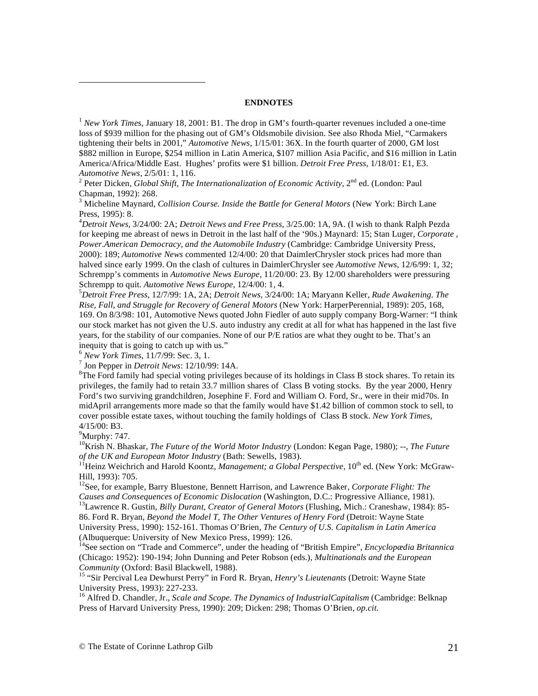#### **ENDNOTES**

<sup>1</sup> *New York Times, January 18, 2001: B1. The drop in GM's fourth-quarter revenues included a one-time* loss of \$939 million for the phasing out of GM's Oldsmobile division. See also Rhoda Miel, "Carmakers tightening their belts in 2001," *Automotive News*, 1/15/01: 36X. In the fourth quarter of 2000, GM lost \$882 million in Europe, \$254 million in Latin America, \$107 million Asia Pacific, and \$16 million in Latin America/Africa/Middle East. Hughes' profits were \$1 billion. *Detroit Free Press*, 1/18/01: E1, E3. *Automotive News*, 2/5/01: 1, 116. 2

<sup>2</sup> Peter Dicken, *Global Shift, The Internationalization of Economic Activity*, 2<sup>nd</sup> ed. (London: Paul Chapman, 1992): 268.

<sup>3</sup> Micheline Maynard, *Collision Course. Inside the Battle for General Motors* (New York: Birch Lane Press, 1995): 8.

4 *Detroit News*, 3/24/00: 2A; *Detroit News and Free Press*, 3/25.00: 1A, 9A. (I wish to thank Ralph Pezda for keeping me abreast of news in Detroit in the last half of the '90s.) Maynard: 15; Stan Luger, *Corporate , Power*.*American Democracy, and the Automobile Industry* (Cambridge: Cambridge University Press, 2000): 189; *Automotive News* commented 12/4/00: 20 that DaimlerChrysler stock prices had more than halved since early 1999. On the clash of cultures in DaimlerChrysler see *Automotive News*, 12/6/99: 1, 32; Schrempp's comments in *Automotive News Europe*, 11/20/00: 23. By 12/00 shareholders were pressuring Schrempp to quit. *Automotive News Europe*, 12/4/00: 1, 4.

*Detroit Free Press*, 12/7/99: 1A, 2A; *Detroit News*, 3/24/00: 1A; Maryann Keller, *Rude Awakening. The Rise, Fall, and Struggle for Recovery of General Motors* (New York: HarperPerennial, 1989): 205, 168, 169. On 8/3/98: 101, Automotive News quoted John Fiedler of auto supply company Borg-Warner: "I think our stock market has not given the U.S. auto industry any credit at all for what has happened in the last five years, for the stability of our companies. None of our P/E ratios are what they ought to be. That's an inequity that is going to catch up with us."

<sup>6</sup> *New York Times*, 11/7/99: Sec. 3, 1. 7

 $<sup>7</sup>$  Jon Pepper in *Detroit News*: 12/10/99: 14A.</sup>

<sup>8</sup>The Ford family had special voting privileges because of its holdings in Class B stock shares. To retain its privileges, the family had to retain 33.7 million shares of Class B voting stocks. By the year 2000, Henry Ford's two surviving grandchildren, Josephine F. Ford and William O. Ford, Sr., were in their mid70s. In midApril arrangements more made so that the family would have \$1.42 billion of common stock to sell, to cover possible estate taxes, without touching the family holdings of Class B stock. *New York Times*, 4/15/00: B3.

 $9^9$ Murphy: 747.

 $\overline{a}$ 

10Krish N. Bhaskar, *The Future of the World Motor Industry* (London: Kegan Page, 1980); --, *The Future of the UK and European Motor Industry (Bath: Sewells, 1983).* <sup>11</sup>Heinz Weichrich and Harold Koontz, *Management; a Global Perspective*, 10<sup>th</sup> ed. (New York: McGraw-

Hill, 1993): 705.

12See, for example, Barry Bluestone, Bennett Harrison, and Lawrence Baker, *Corporate Flight: The Causes and Consequences of Economic Dislocation* (Washington, D.C.: Progressive Alliance, 1981). 13Lawrence R. Gustin, *Billy Durant, Creator of General Motors* (Flushing, Mich.: Craneshaw, 1984): 85-

86. Ford R. Bryan, *Beyond the Model T, The Other Ventures of Henry Ford* (Detroit: Wayne State

University Press, 1990): 152-161. Thomas O'Brien, *The Century of U.S. Capitalism in Latin America*  (Albuquerque: University of New Mexico Press, 1999): 126.

<sup>14</sup>See section on "Trade and Commerce", under the heading of "British Empire", *Encyclopædia Britannica* (Chicago: 1952): 190-194; John Dunning and Peter Robson (eds.), *Multinationals and the European Community* (Oxford: Basil Blackwell, 1988).<br><sup>15</sup> "Sir Percival Lea Dewhurst Perry" in Ford R. Bryan, *Henry's Lieutenants* (Detroit: Wayne State

University Press, 1993): 227-233.

16 Alfred D. Chandler, Jr., *Scale and Scope. The Dynamics of IndustrialCapitalism* (Cambridge: Belknap Press of Harvard University Press, 1990): 209; Dicken: 298; Thomas O'Brien, *op.cit.*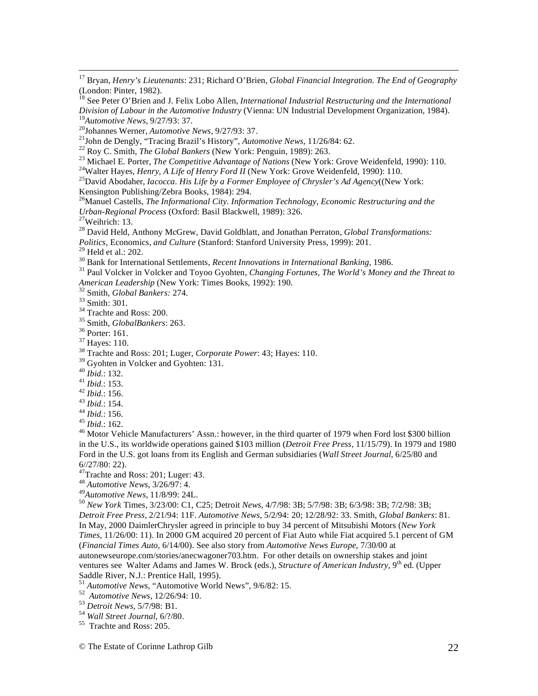17 Bryan, *Henry's Lieutenants*: 231; Richard O'Brien, *Global Financial Integration. The End of Geography*  (London: Pinter, 1982).

<sup>18</sup> See Peter O'Brien and J. Felix Lobo Allen, *International Industrial Restructuring and the International Division of Labour in the Automotive Industry* (Vienna: UN Industrial Development Organization, 1984).<br><sup>19</sup>Automotive News, 9/27/93: 37.

<sup>20</sup>Johannes Werner, *Automotive News*, 9/27/93: 37.<br><sup>21</sup>John de Dengly, "Tracing Brazil's History", *Automotive News*, 11/26/84: 62.<br><sup>22</sup> Roy C. Smith, *The Global Bankers* (New York: Penguin, 1989): 263.<br><sup>23</sup> Michael E.

Kensington Publishing/Zebra Books, 1984): 294.

26Manuel Castells, *The Informational City. Information Technology, Economic Restructuring and the Urban-Regional Process* (Oxford: Basil Blackwell, 1989): 326. 27Weihrich: 13.

28 David Held, Anthony McGrew, David Goldblatt, and Jonathan Perraton, *Global Transformations: Politics,* Economics*, and Culture* (Stanford: Stanford University Press, 1999): 201.

<sup>29</sup> Held et al.: 202.<br><sup>30</sup> Bank for International Settlements, *Recent Innovations in International Banking*, 1986.

<sup>31</sup> Paul Volcker in Volcker and Toyoo Gyohten, *Changing Fortunes, The World's Money and the Threat to American Leadership* (New York: Times Books, 1992): 190.<br><sup>32</sup> Smith, *Global Bankers: 274*.<br><sup>33</sup> Smith: 301.<br><sup>34</sup> Trachte and Ross: 200.

35 Smith, *GlobalBankers*: 263. 36 Porter: 161.

37 Hayes: 110.

38 Trachte and Ross: 201; Luger, *Corporate Power*: 43; Hayes: 110.

 $^{39}$  Gyohten in Volcker and Gyohten: 131.<br> $^{40}$  *Ibid*: 132.

<sup>41</sup> Ibid.: 153.<br>
<sup>42</sup> Ibid.: 156.<br>
<sup>43</sup> Ibid.: 154.<br>
<sup>44</sup> Ibid.: 156.<br>
<sup>45</sup> Ibid.: 162.<br>
<sup>45</sup> Ibid.: 162.<br>
<sup>46</sup> Motor Vehicle Manufacturers' Assn.: however, in the third quarter of 1979 when Ford lost \$300 billion in the U.S., its worldwide operations gained \$103 million (*Detroit Free Press*, 11/15/79). In 1979 and 1980 Ford in the U.S. got loans from its English and German subsidiaries (*Wall Street Journal*, 6/25/80 and 6//27/80: 22).

<sup>47</sup>Trachte and Ross: 201; Luger: 43.

<sup>48</sup> *Automotive News*, 3/26/97: 4.

<sup>49</sup>*Automotive News*, 11/8/99: 24L. 50 *New York* Times, 3/23/00: C1, C25; Detroit *News*, 4/7/98: 3B; 5/7/98: 3B; 6/3/98: 3B; 7/2/98: 3B; *Detroit Free Press*, 2/21/94: 11F. *Automotive News*, 5/2/94: 20; 12/28/92: 33. Smith, *Global Bankers*: 81. In May, 2000 DaimlerChrysler agreed in principle to buy 34 percent of Mitsubishi Motors (*New York Times*, 11/26/00: 11). In 2000 GM acquired 20 percent of Fiat Auto while Fiat acquired 5.1 percent of GM (*Financial Times Auto*, 6/14/00). See also story from *Automotive News Europe*, 7/30/00 at autonewseurope.com/stories/anecwagoner703.htm. For other details on ownership stakes and joint ventures see Walter Adams and James W. Brock (eds.), *Structure of American Industry*, 9<sup>th</sup> ed. (Upper Saddle River, N.J.: Prentice Hall, 1995).

51 *Automotive News*, "Automotive World News", 9/6/82: 15.<br>
<sup>52</sup> *Automotive News*, 12/26/94: 10.<br>
<sup>53</sup> *Detroit News*, 5/7/98: B1.<br>
<sup>54</sup> *Wall Street Journal*, 6/?/80.<br>
<sup>55</sup> Trachte and Ross: 205.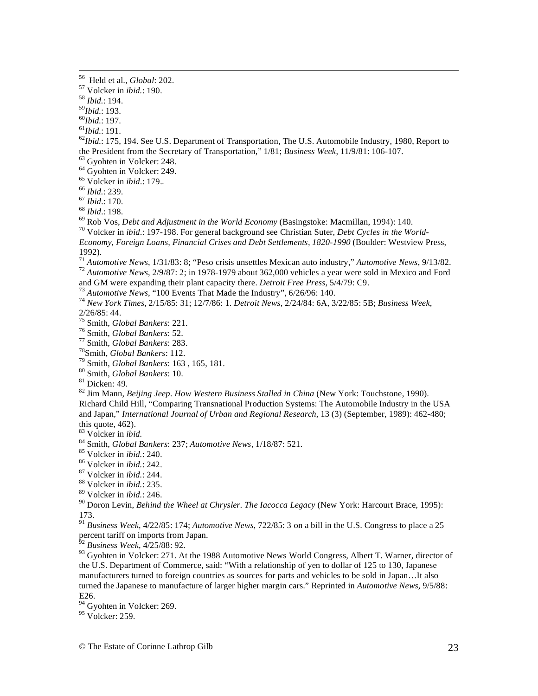<sup>59</sup>*Ibid.*: 193. 60*Ibid.*: 197. 61*Ibid.*: 191. 62*Ibid.*: 175, 194. See U.S. Department of Transportation, The U.S. Automobile Industry, 1980, Report to the President from the Secretary of Transportation," 1/81; *Business Week*, 11/9/81: 106-107. 63 Gyohten in Volcker: 248.

 $^{64}$  Gyohten in Volcker: 249.<br> $^{65}$  Volcker in *ibid*.: 179..

<sup>66</sup> Ibid.: 239.<br><sup>67</sup> Ibid.: 170.<br><sup>68</sup> Ibid.: 198.<br><sup>69</sup> Rob Vos, *Debt and Adjustment in the World Economy* (Basingstoke: Macmillan, 1994): 140.<br><sup>70</sup> Volcker in *ibid.*: 197-198. For general background see Christian Suter

*Economy, Foreign Loans, Financial Crises and Debt Settlements, 1820-1990* (Boulder: Westview Press,

1992).<br><sup>71</sup> Automotive News, 1/31/83: 8; "Peso crisis unsettles Mexican auto industry," Automotive News, 9/13/82.  $^{72}$  Automotive News, 2/9/87: 2; in 1978-1979 about 362,000 vehicles a year were sold in Mexico and Ford<br>and GM were expanding their plant capacity there. Detroit Free Press, 5/4/79: C9.

<sup>73</sup> Automotive News, "100 Events That Made the Industry",  $6/26/96$ : 140.<br><sup>74</sup> New York Times, 2/15/85: 31; 12/7/86: 1. Detroit News, 2/24/84: 6A, 3/22/85: 5B; Business Week,

 $2/26/85$ : 44.<br> $75$  Smith, *Global Bankers*: 221.

<sup>76</sup> Smith, *Global Bankers*: 52.<br><sup>77</sup> Smith, *Global Bankers*: 283.<br><sup>78</sup> Smith, *Global Bankers*: 112.<br><sup>79</sup> Smith, *Global Bankers*: 163, 165, 181.<br><sup>80</sup> Smith, *Global Bankers*: 10.<br><sup>81</sup> Dicken: 49.

82 Jim Mann, *Beijing Jeep. How Western Business Stalled in China* (New York: Touchstone, 1990).

Richard Child Hill, "Comparing Transnational Production Systems: The Automobile Industry in the USA and Japan," *International Journal of Urban and Regional Research*, 13 (3) (September, 1989): 462-480;

this quote,  $462$ ).<br><sup>83</sup> Volcker in *ibid*.

<sup>84</sup> Smith, *Global Bankers*: 237; *Automotive News*, 1/18/87: 521.<br><sup>85</sup> Volcker in *ibid*.: 240.<br><sup>86</sup> Volcker in *ibid*.: 242.<br><sup>87</sup> Volcker in *ibid*.: 244.<br><sup>88</sup> Volcker in *ibid*.: 235.

89 Volcker in *ibid.*: 246.

90 Doron Levin, *Behind the Wheel at Chrysler. The Iacocca Legacy* (New York: Harcourt Brace, 1995): 173.

<sup>91</sup> *Business Week*, 4/22/85: 174; *Automotive News*, 722/85: 3 on a bill in the U.S. Congress to place a 25 percent tariff on imports from Japan.

<sup>92</sup> *Business Week*, 4/25/88: 92.

<sup>93</sup> Gyohten in Volcker: 271. At the 1988 Automotive News World Congress, Albert T. Warner, director of the U.S. Department of Commerce, said: "With a relationship of yen to dollar of 125 to 130, Japanese manufacturers turned to foreign countries as sources for parts and vehicles to be sold in Japan…It also turned the Japanese to manufacture of larger higher margin cars." Reprinted in *Automotive News*, 9/5/88: E26.

<sup>94</sup> Gyohten in Volcker: 269.

<sup>95</sup> Volcker: 259.

 <sup>56</sup> Held et al., *Global*: 202. 57 Volcker in *ibid.*: 190. 58 *Ibid.*: 194.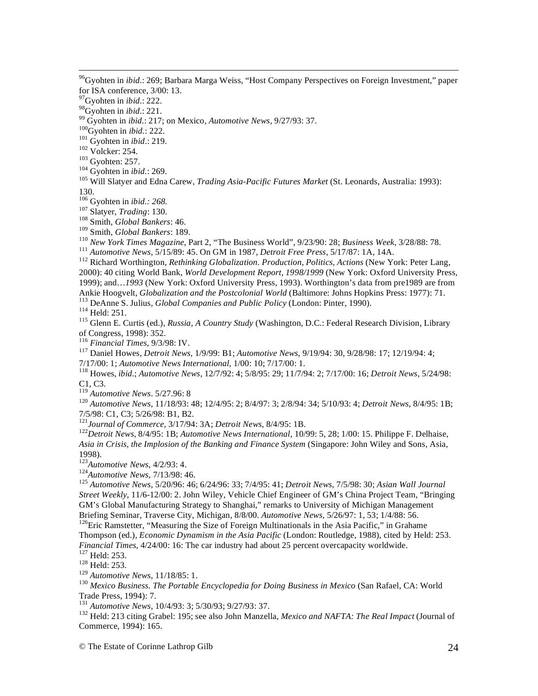96Gyohten in *ibid*.: 269; Barbara Marga Weiss, "Host Company Perspectives on Foreign Investment," paper for ISA conference, 3/00: 13.

<sup>97</sup>Gyohten in *ibid*.: 222.<br><sup>98</sup>Gyohten in *ibid*.: 221.

<sup>99</sup> Gyohten in *ibid.*: 217; on Mexico, *Automotive News*, 9/27/93: 37.<br><sup>100</sup> Gyohten in *ibid.*: 222.<br><sup>101</sup> Gyohten in *ibid.*: 219.<br><sup>102</sup> Volcker: 254.<br><sup>103</sup> Gyohten: 257.<br><sup>104</sup> Gyohten in *ibid.*: 269.<br><sup>103</sup> Will Slat

130.<br> $106$  Gyohten in *ibid.:* 268.

<sup>107</sup> Slatyer, *Trading*: 130.<br><sup>108</sup> Smith, *Global Bankers*: 46.<br><sup>109</sup> Smith, *Global Bankers*: 189.

<sup>110</sup> New York Times Magazine, Part 2, "The Business World",  $9/23/90$ : 28; Business Week,  $3/28/88$ : 78.<br><sup>111</sup> Automotive News,  $5/15/89$ : 45. On GM in 1987, *Detroit Free Press*,  $5/17/87$ : 1A, 14A.<br><sup>112</sup> Richard Worthi 2000): 40 citing World Bank, *World Development Report, 1998/1999* (New York: Oxford University Press, 1999); and…*1993* (New York: Oxford University Press, 1993). Worthington's data from pre1989 are from Ankie Hoogvelt, *Globalization and the Postcolonial World* (Baltimore: Johns Hopkins Press: 1977): 71.<br><sup>113</sup> DeAnne S. Julius, *Global Companies and Public Policy* (London: Pinter, 1990).<br><sup>114</sup> Held: 251.<br><sup>115</sup> Glenn E. Cu

of Congress, 1998): 352.<br><sup>116</sup> Financial Times, 9/3/98: IV.

<sup>117</sup> Daniel Howes, *Detroit News*, 1/9/99: B1; *Automotive News*, 9/19/94: 30, 9/28/98: 17; 12/19/94: 4; 7/17/00: 1; *Automotive News International*, 1/00: 10; 7/17/00: 1.

<sup>118</sup> Howes, *ibid.*; *Automotive News*, 12/7/92: 4; 5/8/95: 29; 11/7/94: 2; 7/17/00: 16; *Detroit News*, 5/24/98: C1, C3.<br><sup>119</sup> Automotive News. 5/27.96: 8

<sup>119</sup> *Automotive News*. 5/27.96: 8 120 *Automotive News*, 11/18/93: 48; 12/4/95: 2; 8/4/97: 3; 2/8/94: 34; 5/10/93: 4; *Detroit News*, 8/4/95: 1B; 7/5/98: C1, C3; 5/26/98: B1, B2.<br><sup>121</sup>Journal of Commerce, 3/17/94: 3A; Detroit News, 8/4/95: 1B.

<sup>122</sup>Detroit News, 8/4/95: 1B; *Automotive News International*, 10/99: 5, 28; 1/00: 15. Philippe F. Delhaise, *Asia in Crisis, the Implosion of the Banking and Finance System* (Singapore: John Wiley and Sons, Asia, 1998).<br><sup>123</sup>Automotive News, 4/2/93: 4.

124<br><sup>124</sup>Automotive News, 7/13/98: 46.<br><sup>125</sup> Automotive News, 5/20/96: 46; 6/24/96: 33; 7/4/95: 41; *Detroit News, 7/5/98: 30; Asian Wall Journal Street Weekly*, 11/6-12/00: 2. John Wiley, Vehicle Chief Engineer of GM's China Project Team, "Bringing GM's Global Manufacturing Strategy to Shanghai," remarks to University of Michigan Management

Briefing Seminar, Traverse City, Michigan, 8/8/00. *Automotive News*, 5/26/97: 1, 53; 1/4/88: 56. <sup>126</sup>Eric Ramstetter, "Measuring the Size of Foreign Multinationals in the Asia Pacific," in Grahame Thompson (ed.), *Economic Dynamism in the Asia Pacific* (London: Routledge, 1988), cited by Held: 253. *Financial Times*, 4/24/00: 16: The car industry had about 25 percent overcapacity worldwide.<br><sup>127</sup> Held: 253.<br><sup>128</sup> Held: 253.<br><sup>129</sup> Automotive News, 11/18/85: 1.

<sup>130</sup> *Mexico Business. The Portable Encyclopedia for Doing Business in Mexico* (San Rafael, CA: World Trade Press, 1994): 7.<br><sup>131</sup> Automotive News, 10/4/93: 3; 5/30/93; 9/27/93: 37.

<sup>132</sup> Held: 213 citing Grabel: 195; see also John Manzella, *Mexico and NAFTA: The Real Impact* (Journal of Commerce, 1994): 165.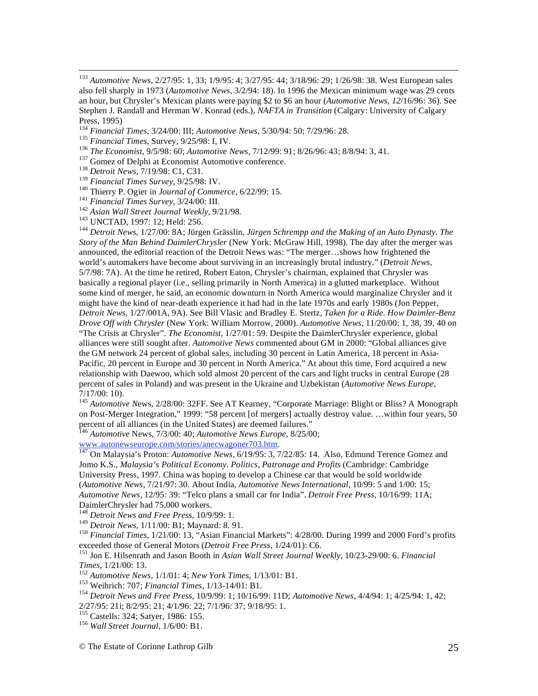133 *Automotive News*, 2/27/95: 1, 33; 1/9/95: 4; 3/27/95: 44; 3/18/96: 29; 1/26/98: 38. West European sales also fell sharply in 1973 (*Automotive News*, 3/2/94: 18). In 1996 the Mexican minimum wage was 29 cents an hour, but Chrysler's Mexican plants were paying \$2 to \$6 an hour (*Automotive News*, *12*/16/96: 36). See Stephen J. Randall and Herman W. Konrad (eds.), *NAFTA in Transition* (Calgary: University of Calgary

Press, 1995)<br><sup>134</sup> Financial Times, 3/24/00: III; Automotive News, 5/30/94: 50; 7/29/96: 28.

<sup>135</sup> Financial Times, Survey, 9/25/98: I, IV.<br><sup>136</sup> The Economist, 9/5/98: 60; Automotive News, 7/12/99: 91; 8/26/96: 43; 8/8/94: 3, 41.<br><sup>137</sup> Gomez of Delphi at Economist Automotive conference.<br><sup>138</sup> Detroit News, 7/19/

<sup>140</sup> Thierry P. Ogier in *Journal of Commerce*, 6/22/99: 15.<br>
<sup>141</sup> Financial Times Survey, 3/24/00: III.<br>
<sup>142</sup> Asian Wall Street Journal Weekly, 9/21/98.<br>
<sup>143</sup> UNCTAD, 1997: 12; Held: 256.<br>
<sup>144</sup> Detroit News, 1/27/00 *Story of the Man Behind DaimlerChrysler* (New York: McGraw Hill, 1998). The day after the merger was announced, the editorial reaction of the Detroit News was: "The merger…shows how frightened the world's automakers have become about surviving in an increasingly brutal industry." (*Detroit News*, 5/7/98: 7A). At the time he retired, Robert Eaton, Chrysler's chairman, explained that Chrysler was basically a regional player (i.e., selling primarily in North America) in a glutted marketplace. Without some kind of merger, he said, an economic downturn in North America would marginalize Chrysler and it might have the kind of near-death experience it had had in the late 1970s and early 1980s (Jon Pepper, *Detroit News*, 1/27/001A, 9A). See Bill Vlasic and Bradley E. Stertz, *Taken for a Ride. How Daimler-Benz Drove Off with Chrysler* (New York: William Morrow, 2000). *Automotive News*, 11/20/00: 1, 38, 39, 40 on "The Crisis at Chrysler". *The Economist*, 1/27/01: 59. Despite the DaimlerChrysler experience, global alliances were still sought after. *Automotive News* commented about GM in 2000: "Global alliances give the GM network 24 percent of global sales, including 30 percent in Latin America, 18 percent in Asia-Pacific, 20 percent in Europe and 30 percent in North America." At about this time, Ford acquired a new relationship with Daewoo, which sold almost 20 percent of the cars and light trucks in central Europe (28 percent of sales in Poland) and was present in the Ukraine and Uzbekistan (*Automotive News Europe*, 7/17/00: 10).

<sup>145</sup> *Automotive N*ews, 2/28/00: 32FF. See AT Kearney, "Corporate Marriage: Blight or Bliss? A Monograph on Post-Merger Integration," 1999: "58 percent [of mergers] actually destroy value. …within four years, 50 percent of all alliances (in the United States) are deemed failures."

<sup>146</sup> *Automotive* News, 7/3/00: 40; *Automotive News Europe*, 8/25/00;

www.autonewseurope.com/stories/anecwagoner703.htm. 147 On Malaysia's Proton: *Automotive News*, 6/19/95: 3, 7/22/85: 14. Also, Edmund Terence Gomez and Jomo K.S., *Malaysia's Political Economy. Politics, Patronage and Profits* (Cambridge: Cambridge University Press, 1997. China was hoping to develop a Chinese car that would be sold worldwide (*Automotive News*, 7/21/97: 30. About India, *Automotive News International*, 10/99: 5 and 1/00: 15; *Automotive News,* 12/95: 39: "Telco plans a small car for India". *Detroit Free Press*, 10/16/99: 11A; DaimlerChrysler had 75,000 workers.

<sup>148</sup> *Detroit News and Free Press*, 10/9/99: 1.<br><sup>149</sup> *Detroit News*, 1/11/00: B1; Maynard: 8. 91.

<sup>150</sup> Financial Times, 1/21/00: 13, "Asian Financial Markets": 4/28/00. During 1999 and 2000 Ford's profits exceeded those of General Motors (*Detroit Free Press*, 1/24/01): C6.<br><sup>151</sup> Jon E. Hilsenrath and Jason Booth in *Asian Wall Street Journal Weekly*, 10/23-29/00: 6. *Financial* 

*Times, 1/21/00: 13.*<br><sup>152</sup> *Automotive News, 1/1/01: 4; New York Times, 1/13/01: B1.*<br><sup>153</sup> Weihrich: 707; *Financial Times, 1/13-14/01: B1.*<br><sup>154</sup> *Detroit News and Free Press, 10/9/99: 1; 10/16/99: 11D; Automotive News,* 

2/27/95: 21i; 8/2/95: 21; 4/1/96: 22; 7/1/96: 37; 9/18/95: 1.

155 Castells: 324; Satyer, 1986: 155. 156 *Wall Street Journal*, 1/6/00: B1.

© The Estate of Corinne Lathrop Gilb 25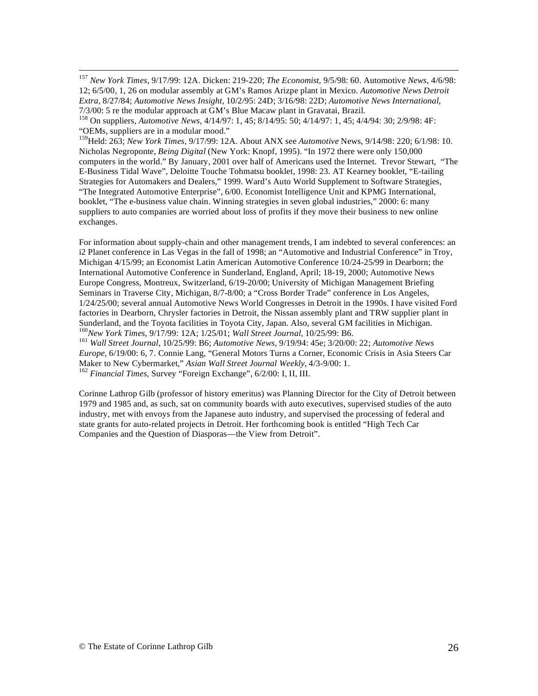157 *New York Times*, 9/17/99: 12A. Dicken: 219-220; *The Economist*, 9/5/98: 60. Automotive *News*, 4/6/98: 12; 6/5/00, 1, 26 on modular assembly at GM's Ramos Arizpe plant in Mexico. *Automotive News Detroit Extra*, 8/27/84; *Automotive News Insight*, 10/2/95: 24D; 3/16/98: 22D; *Automotive News International*, 7/3/00: 5 re the modular approach at GM's Blue Macaw plant in Gravatai, Brazil.

159Held: 263; *New York Times*, 9/17/99: 12A. About ANX see *Automotive* News, 9/14/98: 220; 6/1/98: 10. Nicholas Negroponte, *Being Digital* (New York: Knopf, 1995). "In 1972 there were only 150,000 computers in the world." By January, 2001 over half of Americans used the Internet. Trevor Stewart, "The E-Business Tidal Wave", Deloitte Touche Tohmatsu booklet, 1998: 23. AT Kearney booklet, "E-tailing Strategies for Automakers and Dealers," 1999. Ward's Auto World Supplement to Software Strategies, "The Integrated Automotive Enterprise", 6/00. Economist Intelligence Unit and KPMG International, booklet, "The e-business value chain. Winning strategies in seven global industries," 2000: 6: many suppliers to auto companies are worried about loss of profits if they move their business to new online exchanges.

For information about supply-chain and other management trends, I am indebted to several conferences: an i2 Planet conference in Las Vegas in the fall of 1998; an "Automotive and Industrial Conference" in Troy, Michigan 4/15/99; an Economist Latin American Automotive Conference 10/24-25/99 in Dearborn; the International Automotive Conference in Sunderland, England, April; 18-19, 2000; Automotive News Europe Congress, Montreux, Switzerland, 6/19-20/00; University of Michigan Management Briefing Seminars in Traverse City, Michigan, 8/7-8/00; a "Cross Border Trade" conference in Los Angeles, 1/24/25/00; several annual Automotive News World Congresses in Detroit in the 1990s. I have visited Ford factories in Dearborn, Chrysler factories in Detroit, the Nissan assembly plant and TRW supplier plant in Sunderland, and the Toyota facilities in Toyota City, Japan. Also, several GM facilities in Michigan.

<sup>160</sup>*New York Times*, 9/17/99: 12A; 1/25/01; *Wall Street Journal*, 10/25/99: B6. 161 *Wall Street Journal*, 10/25/99: B6; *Automotive News*, 9/19/94: 45e; 3/20/00: 22; *Automotive News Europe*, 6/19/00: 6, 7. Connie Lang, "General Motors Turns a Corner, Economic Crisis in Asia Steers Car <sup>162</sup> Financial Times, Survey "Foreign Exchange", 6/2/00: I, II, III.

Corinne Lathrop Gilb (professor of history emeritus) was Planning Director for the City of Detroit between 1979 and 1985 and, as such, sat on community boards with auto executives, supervised studies of the auto industry, met with envoys from the Japanese auto industry, and supervised the processing of federal and state grants for auto-related projects in Detroit. Her forthcoming book is entitled "High Tech Car Companies and the Question of Diasporas—the View from Detroit".

<sup>158</sup> On suppliers, *Automotive News*, 4/14/97: 1, 45; 8/14/95: 50; 4/14/97: 1, 45; 4/4/94: 30; 2/9/98: 4F: "OEMs, suppliers are in a modular mood."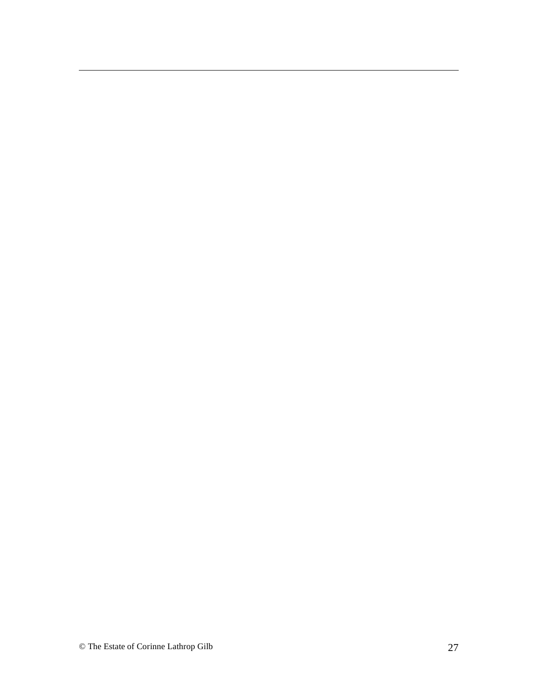$\overline{a}$